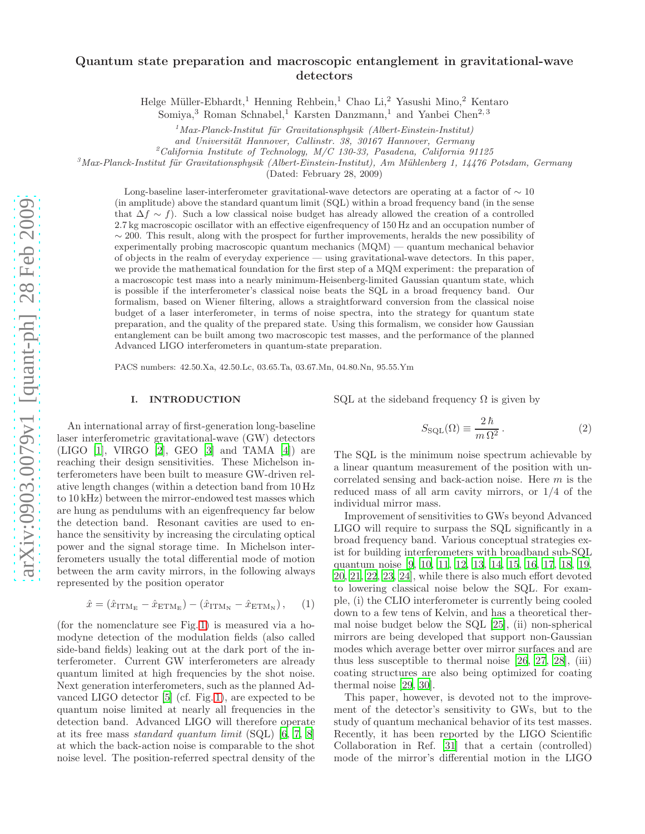# Quantum state preparation and macroscopic entanglement in gravitational-wave detectors

Helge Müller-Ebhardt,<sup>1</sup> Henning Rehbein,<sup>1</sup> Chao Li,<sup>2</sup> Yasushi Mino,<sup>2</sup> Kentaro

Somiya,<sup>3</sup> Roman Schnabel,<sup>1</sup> Karsten Danzmann,<sup>1</sup> and Yanbei Chen<sup>2, 3</sup>

 $1$  Max-Planck-Institut für Gravitationsphysik (Albert-Einstein-Institut)

and Universität Hannover, Callinstr. 38, 30167 Hannover, Germany

 $^{2}$ California Institute of Technology, M/C 130-33, Pasadena, California 91125

 $3$ Max-Planck-Institut für Gravitationsphysik (Albert-Einstein-Institut), Am Mühlenberg 1, 14476 Potsdam, Germany

(Dated: February 28, 2009)

Long-baseline laser-interferometer gravitational-wave detectors are operating at a factor of  $\sim 10$ (in amplitude) above the standard quantum limit (SQL) within a broad frequency band (in the sense that  $\Delta f \sim f$ ). Such a low classical noise budget has already allowed the creation of a controlled 2.7 kg macroscopic oscillator with an effective eigenfrequency of 150 Hz and an occupation number of  $\sim$  200. This result, along with the prospect for further improvements, heralds the new possibility of experimentally probing macroscopic quantum mechanics (MQM) — quantum mechanical behavior of objects in the realm of everyday experience — using gravitational-wave detectors. In this paper, we provide the mathematical foundation for the first step of a MQM experiment: the preparation of a macroscopic test mass into a nearly minimum-Heisenberg-limited Gaussian quantum state, which is possible if the interferometer's classical noise beats the SQL in a broad frequency band. Our formalism, based on Wiener filtering, allows a straightforward conversion from the classical noise budget of a laser interferometer, in terms of noise spectra, into the strategy for quantum state preparation, and the quality of the prepared state. Using this formalism, we consider how Gaussian entanglement can be built among two macroscopic test masses, and the performance of the planned Advanced LIGO interferometers in quantum-state preparation.

PACS numbers: 42.50.Xa, 42.50.Lc, 03.65.Ta, 03.67.Mn, 04.80.Nn, 95.55.Ym

### I. INTRODUCTION

An international array of first-generation long-baseline laser interferometric gravitational-wave (GW) detectors  $(LIGO [1], VIRGO [2], GEO [3] and TAMA [4]) are$  $(LIGO [1], VIRGO [2], GEO [3] and TAMA [4]) are$  $(LIGO [1], VIRGO [2], GEO [3] and TAMA [4]) are$  $(LIGO [1], VIRGO [2], GEO [3] and TAMA [4]) are$  $(LIGO [1], VIRGO [2], GEO [3] and TAMA [4]) are$  $(LIGO [1], VIRGO [2], GEO [3] and TAMA [4]) are$  $(LIGO [1], VIRGO [2], GEO [3] and TAMA [4]) are$  $(LIGO [1], VIRGO [2], GEO [3] and TAMA [4]) are$  $(LIGO [1], VIRGO [2], GEO [3] and TAMA [4]) are$ reaching their design sensitivities. These Michelson interferometers have been built to measure GW-driven relative length changes (within a detection band from 10 Hz to 10 kHz) between the mirror-endowed test masses which are hung as pendulums with an eigenfrequency far below the detection band. Resonant cavities are used to enhance the sensitivity by increasing the circulating optical power and the signal storage time. In Michelson interferometers usually the total differential mode of motion between the arm cavity mirrors, in the following always represented by the position operator

$$
\hat{x} = (\hat{x}_{\text{ITM}_{\text{E}}} - \hat{x}_{\text{ETM}_{\text{E}}}) - (\hat{x}_{\text{ITM}_{\text{N}}} - \hat{x}_{\text{ETM}_{\text{N}}}), \quad (1)
$$

(for the nomenclature see Fig. [1\)](#page-1-0) is measured via a homodyne detection of the modulation fields (also called side-band fields) leaking out at the dark port of the interferometer. Current GW interferometers are already quantum limited at high frequencies by the shot noise. Next generation interferometers, such as the planned Advanced LIGO detector [\[5\]](#page-17-4) (cf. Fig. [1\)](#page-1-0), are expected to be quantum noise limited at nearly all frequencies in the detection band. Advanced LIGO will therefore operate at its free mass standard quantum limit (SQL) [\[6,](#page-17-5) [7](#page-17-6), [8](#page-17-7)] at which the back-action noise is comparable to the shot noise level. The position-referred spectral density of the SQL at the sideband frequency  $\Omega$  is given by

<span id="page-0-0"></span>
$$
S_{\text{SQL}}(\Omega) \equiv \frac{2\,\hbar}{m\,\Omega^2} \,. \tag{2}
$$

The SQL is the minimum noise spectrum achievable by a linear quantum measurement of the position with uncorrelated sensing and back-action noise. Here m is the reduced mass of all arm cavity mirrors, or 1/4 of the individual mirror mass.

Improvement of sensitivities to GWs beyond Advanced LIGO will require to surpass the SQL significantly in a broad frequency band. Various conceptual strategies exist for building interferometers with broadband sub-SQL quantum noise [\[9,](#page-17-8) [10,](#page-17-9) [11](#page-17-10), [12,](#page-17-11) [13](#page-17-12), [14](#page-17-13), [15,](#page-17-14) [16,](#page-17-15) [17,](#page-17-16) [18,](#page-17-17) [19](#page-17-18), [20](#page-17-19), [21,](#page-17-20) [22](#page-17-21), [23,](#page-17-22) [24](#page-17-23)], while there is also much effort devoted to lowering classical noise below the SQL. For example, (i) the CLIO interferometer is currently being cooled down to a few tens of Kelvin, and has a theoretical thermal noise budget below the SQL [\[25](#page-18-0)], (ii) non-spherical mirrors are being developed that support non-Gaussian modes which average better over mirror surfaces and are thus less susceptible to thermal noise [\[26](#page-18-1), [27,](#page-18-2) [28\]](#page-18-3), (iii) coating structures are also being optimized for coating thermal noise [\[29,](#page-18-4) [30\]](#page-18-5).

This paper, however, is devoted not to the improvement of the detector's sensitivity to GWs, but to the study of quantum mechanical behavior of its test masses. Recently, it has been reported by the LIGO Scientific Collaboration in Ref. [\[31\]](#page-18-6) that a certain (controlled) mode of the mirror's differential motion in the LIGO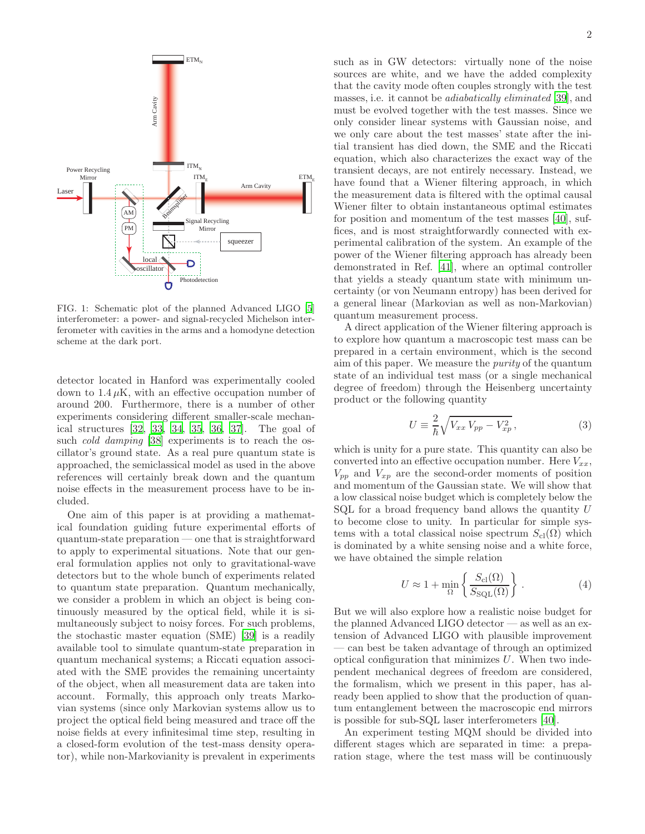

<span id="page-1-0"></span>FIG. 1: Schematic plot of the planned Advanced LIGO [\[5](#page-17-4)] interferometer: a power- and signal-recycled Michelson interferometer with cavities in the arms and a homodyne detection scheme at the dark port.

detector located in Hanford was experimentally cooled down to  $1.4 \mu$ K, with an effective occupation number of around 200. Furthermore, there is a number of other experiments considering different smaller-scale mechanical structures [\[32,](#page-18-7) [33,](#page-18-8) [34](#page-18-9), [35,](#page-18-10) [36,](#page-18-11) [37](#page-18-12)]. The goal of such *cold damping* [\[38\]](#page-18-13) experiments is to reach the oscillator's ground state. As a real pure quantum state is approached, the semiclassical model as used in the above references will certainly break down and the quantum noise effects in the measurement process have to be included.

One aim of this paper is at providing a mathematical foundation guiding future experimental efforts of quantum-state preparation — one that is straightforward to apply to experimental situations. Note that our general formulation applies not only to gravitational-wave detectors but to the whole bunch of experiments related to quantum state preparation. Quantum mechanically, we consider a problem in which an object is being continuously measured by the optical field, while it is simultaneously subject to noisy forces. For such problems, the stochastic master equation (SME) [\[39\]](#page-18-14) is a readily available tool to simulate quantum-state preparation in quantum mechanical systems; a Riccati equation associated with the SME provides the remaining uncertainty of the object, when all measurement data are taken into account. Formally, this approach only treats Markovian systems (since only Markovian systems allow us to project the optical field being measured and trace off the noise fields at every infinitesimal time step, resulting in a closed-form evolution of the test-mass density operator), while non-Markovianity is prevalent in experiments such as in GW detectors: virtually none of the noise sources are white, and we have the added complexity that the cavity mode often couples strongly with the test masses, i.e. it cannot be adiabatically eliminated [\[39\]](#page-18-14), and must be evolved together with the test masses. Since we only consider linear systems with Gaussian noise, and we only care about the test masses' state after the initial transient has died down, the SME and the Riccati equation, which also characterizes the exact way of the transient decays, are not entirely necessary. Instead, we have found that a Wiener filtering approach, in which the measurement data is filtered with the optimal causal Wiener filter to obtain instantaneous optimal estimates for position and momentum of the test masses [\[40](#page-18-15)], suffices, and is most straightforwardly connected with experimental calibration of the system. An example of the power of the Wiener filtering approach has already been demonstrated in Ref. [\[41](#page-18-16)], where an optimal controller that yields a steady quantum state with minimum uncertainty (or von Neumann entropy) has been derived for a general linear (Markovian as well as non-Markovian) quantum measurement process.

A direct application of the Wiener filtering approach is to explore how quantum a macroscopic test mass can be prepared in a certain environment, which is the second aim of this paper. We measure the purity of the quantum state of an individual test mass (or a single mechanical degree of freedom) through the Heisenberg uncertainty product or the following quantity

<span id="page-1-2"></span>
$$
U \equiv \frac{2}{\hbar} \sqrt{V_{xx} V_{pp} - V_{xp}^2},\tag{3}
$$

which is unity for a pure state. This quantity can also be converted into an effective occupation number. Here  $V_{xx}$ ,  $V_{pp}$  and  $V_{xp}$  are the second-order moments of position and momentum of the Gaussian state. We will show that a low classical noise budget which is completely below the SQL for a broad frequency band allows the quantity  $U$ to become close to unity. In particular for simple systems with a total classical noise spectrum  $S_{\text{cl}}(\Omega)$  which is dominated by a white sensing noise and a white force, we have obtained the simple relation

<span id="page-1-1"></span>
$$
U \approx 1 + \min_{\Omega} \left\{ \frac{S_{\text{cl}}(\Omega)}{S_{\text{SQL}}(\Omega)} \right\} . \tag{4}
$$

But we will also explore how a realistic noise budget for the planned Advanced LIGO detector — as well as an extension of Advanced LIGO with plausible improvement — can best be taken advantage of through an optimized optical configuration that minimizes  $U$ . When two independent mechanical degrees of freedom are considered, the formalism, which we present in this paper, has already been applied to show that the production of quantum entanglement between the macroscopic end mirrors is possible for sub-SQL laser interferometers [\[40\]](#page-18-15).

An experiment testing MQM should be divided into different stages which are separated in time: a preparation stage, where the test mass will be continuously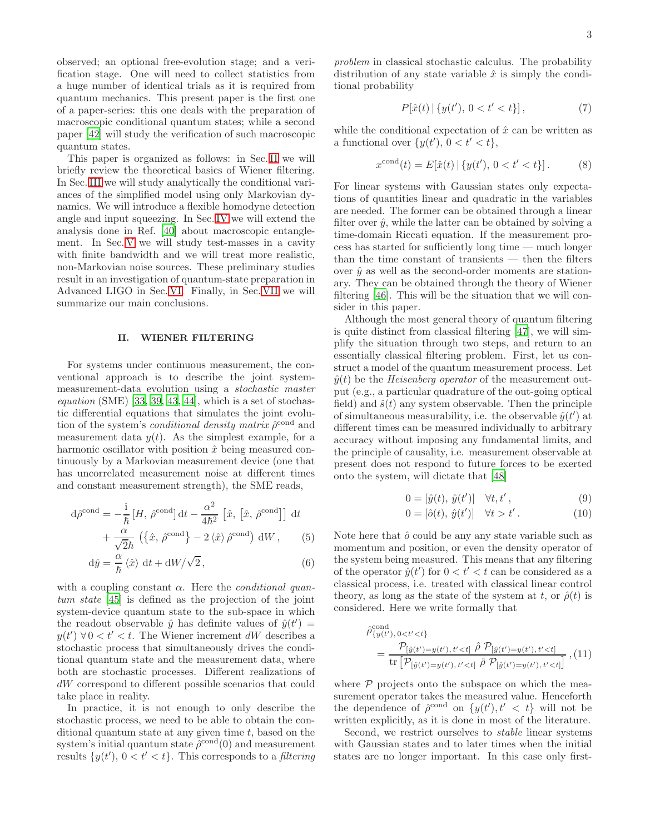observed; an optional free-evolution stage; and a verification stage. One will need to collect statistics from a huge number of identical trials as it is required from quantum mechanics. This present paper is the first one of a paper-series: this one deals with the preparation of macroscopic conditional quantum states; while a second paper [\[42](#page-18-17)] will study the verification of such macroscopic quantum states.

This paper is organized as follows: in Sec. [II](#page-2-0) we will briefly review the theoretical basics of Wiener filtering. In Sec. [III](#page-4-0) we will study analytically the conditional variances of the simplified model using only Markovian dynamics. We will introduce a flexible homodyne detection angle and input squeezing. In Sec. [IV](#page-8-0) we will extend the analysis done in Ref. [\[40](#page-18-15)] about macroscopic entanglement. In Sec. [V](#page-10-0) we will study test-masses in a cavity with finite bandwidth and we will treat more realistic, non-Markovian noise sources. These preliminary studies result in an investigation of quantum-state preparation in Advanced LIGO in Sec. [VI.](#page-14-0) Finally, in Sec. [VII](#page-15-0) we will summarize our main conclusions.

### <span id="page-2-0"></span>II. WIENER FILTERING

For systems under continuous measurement, the conventional approach is to describe the joint systemmeasurement-data evolution using a stochastic master equation  $(SME)$  [\[33,](#page-18-8) [39](#page-18-14), [43,](#page-18-18) [44\]](#page-18-19), which is a set of stochastic differential equations that simulates the joint evolution of the system's *conditional density matrix*  $\hat{\rho}^{\text{cond}}$  and measurement data  $y(t)$ . As the simplest example, for a harmonic oscillator with position  $\hat{x}$  being measured continuously by a Markovian measurement device (one that has uncorrelated measurement noise at different times and constant measurement strength), the SME reads,

$$
d\hat{\rho}^{\text{cond}} = -\frac{i}{\hbar} \left[ H, \ \hat{\rho}^{\text{cond}} \right] dt - \frac{\alpha^2}{4\hbar^2} \left[ \hat{x}, \ [\hat{x}, \ \hat{\rho}^{\text{cond}}] \right] dt + \frac{\alpha}{\sqrt{2}\hbar} \left( \{\hat{x}, \ \hat{\rho}^{\text{cond}}\} - 2 \langle \hat{x} \rangle \ \hat{\rho}^{\text{cond}} \right) dW , \tag{5}
$$

$$
\mathrm{d}\hat{y} = \frac{\alpha}{\hbar} \left\langle \hat{x} \right\rangle \, \mathrm{d}t + \mathrm{d}W / \sqrt{2} \,, \tag{6}
$$

with a coupling constant  $\alpha$ . Here the *conditional quan*tum state [\[45](#page-18-20)] is defined as the projection of the joint system-device quantum state to the sub-space in which the readout observable  $\hat{y}$  has definite values of  $\hat{y}(t') =$  $y(t')$  ∀0 <  $t'$  < t. The Wiener increment dW describes a stochastic process that simultaneously drives the conditional quantum state and the measurement data, where both are stochastic processes. Different realizations of dW correspond to different possible scenarios that could take place in reality.

In practice, it is not enough to only describe the stochastic process, we need to be able to obtain the conditional quantum state at any given time  $t$ , based on the system's initial quantum state  $\hat{\rho}^{\text{cond}}(0)$  and measurement results  $\{y(t'), 0 < t' < t\}$ . This corresponds to a *filtering* 

problem in classical stochastic calculus. The probability distribution of any state variable  $\hat{x}$  is simply the conditional probability

$$
P[\hat{x}(t) | \{y(t'), 0 < t' < t\}], \tag{7}
$$

while the conditional expectation of  $\hat{x}$  can be written as a functional over  $\{y(t'), 0 < t' < t\},\$ 

$$
x^{\text{cond}}(t) = E[\hat{x}(t) | \{y(t'), 0 < t' < t\}]. \tag{8}
$$

For linear systems with Gaussian states only expectations of quantities linear and quadratic in the variables are needed. The former can be obtained through a linear filter over  $\hat{y}$ , while the latter can be obtained by solving a time-domain Riccati equation. If the measurement process has started for sufficiently long time — much longer than the time constant of transients — then the filters over  $\hat{y}$  as well as the second-order moments are stationary. They can be obtained through the theory of Wiener filtering [\[46\]](#page-18-21). This will be the situation that we will consider in this paper.

Although the most general theory of quantum filtering is quite distinct from classical filtering [\[47\]](#page-18-22), we will simplify the situation through two steps, and return to an essentially classical filtering problem. First, let us construct a model of the quantum measurement process. Let  $\hat{y}(t)$  be the *Heisenberg operator* of the measurement output (e.g., a particular quadrature of the out-going optical field) and  $\hat{s}(t)$  any system observable. Then the principle of simultaneous measurability, i.e. the observable  $\hat{y}(t')$  at different times can be measured individually to arbitrary accuracy without imposing any fundamental limits, and the principle of causality, i.e. measurement observable at present does not respond to future forces to be exerted onto the system, will dictate that [\[48\]](#page-18-23)

$$
0 = [\hat{y}(t), \hat{y}(t')] \quad \forall t, t', \qquad (9)
$$

$$
0 = [\hat{o}(t), \hat{y}(t')] \quad \forall t > t'. \tag{10}
$$

Note here that  $\hat{o}$  could be any any state variable such as momentum and position, or even the density operator of the system being measured. This means that any filtering of the operator  $\hat{y}(t')$  for  $0 < t' < t$  can be considered as a classical process, i.e. treated with classical linear control theory, as long as the state of the system at t, or  $\hat{\rho}(t)$  is considered. Here we write formally that

$$
\hat{\rho}_{\{y(t'),0
$$

where  $P$  projects onto the subspace on which the measurement operator takes the measured value. Henceforth the dependence of  $\hat{\rho}^{\text{cond}}$  on  $\{y(t'), t' < t\}$  will not be written explicitly, as it is done in most of the literature.

Second, we restrict ourselves to stable linear systems with Gaussian states and to later times when the initial states are no longer important. In this case only first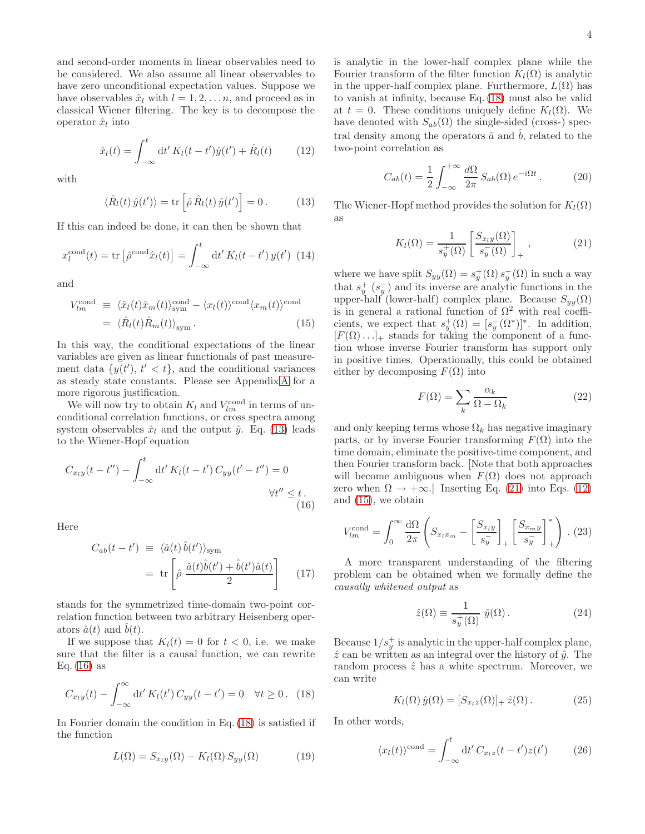and second-order moments in linear observables need to be considered. We also assume all linear observables to have zero unconditional expectation values. Suppose we have observables  $\hat{x}_l$  with  $l = 1, 2, \ldots n$ , and proceed as in classical Wiener filtering. The key is to decompose the operator  $\hat{x}_l$  into

<span id="page-3-4"></span>
$$
\hat{x}_l(t) = \int_{-\infty}^t dt' K_l(t - t')\hat{y}(t') + \hat{R}_l(t) \tag{12}
$$

with

<span id="page-3-0"></span>
$$
\langle \hat{R}_l(t)\,\hat{y}(t')\rangle = \text{tr}\left[\hat{\rho}\,\hat{R}_l(t)\,\hat{y}(t')\right] = 0\,. \tag{13}
$$

If this can indeed be done, it can then be shown that

<span id="page-3-8"></span>
$$
x_l^{\text{cond}}(t) = \text{tr}\left[\hat{\rho}^{\text{cond}}\hat{x}_l(t)\right] = \int_{-\infty}^t \mathrm{d}t' \, K_l(t - t') \, y(t') \tag{14}
$$

and

<span id="page-3-5"></span>
$$
V_{lm}^{\text{cond}} \equiv \langle \hat{x}_l(t)\hat{x}_m(t) \rangle_{\text{sym}}^{\text{cond}} - \langle x_l(t) \rangle^{\text{cond}} \langle x_m(t) \rangle^{\text{cond}}
$$

$$
= \langle \hat{R}_l(t)\hat{R}_m(t) \rangle_{\text{sym}}.
$$
(15)

In this way, the conditional expectations of the linear variables are given as linear functionals of past measurement data  $\{y(t'), t' < t\}$ , and the conditional variances as steady state constants. Please see Appendix [A](#page-16-0) for a more rigorous justification.

We will now try to obtain  $K_l$  and  $V_{lm}^{\text{cond}}$  in terms of unconditional correlation functions, or cross spectra among system observables  $\hat{x}_l$  and the output  $\hat{y}$ . Eq. [\(13\)](#page-3-0) leads to the Wiener-Hopf equation

$$
C_{x_{l}y}(t - t'') - \int_{-\infty}^{t} dt' K_{l}(t - t') C_{yy}(t' - t'') = 0
$$
  

$$
\forall t'' \leq t.
$$
  
(16)

Here

$$
C_{ab}(t - t') \equiv \langle \hat{a}(t) \hat{b}(t') \rangle_{\text{sym}}
$$
  
= tr  $\left[ \hat{\rho} \frac{\hat{a}(t)\hat{b}(t') + \hat{b}(t')\hat{a}(t)}{2} \right]$  (17)

stands for the symmetrized time-domain two-point correlation function between two arbitrary Heisenberg operators  $\hat{a}(t)$  and  $b(t)$ .

If we suppose that  $K_l(t) = 0$  for  $t < 0$ , i.e. we make sure that the filter is a causal function, we can rewrite Eq.  $(16)$  as

<span id="page-3-2"></span>
$$
C_{x_l y}(t) - \int_{-\infty}^{\infty} dt' K_l(t') C_{yy}(t - t') = 0 \quad \forall t \ge 0.
$$
 (18)

In Fourier domain the condition in Eq. [\(18\)](#page-3-2) is satisfied if the function

$$
L(\Omega) = S_{x_l y}(\Omega) - K_l(\Omega) S_{y y}(\Omega) \tag{19}
$$

is analytic in the lower-half complex plane while the Fourier transform of the filter function  $K_l(\Omega)$  is analytic in the upper-half complex plane. Furthermore,  $L(\Omega)$  has to vanish at infinity, because Eq. [\(18\)](#page-3-2) must also be valid at  $t = 0$ . These conditions uniquely define  $K_l(\Omega)$ . We have denoted with  $S_{ab}(\Omega)$  the single-sided (cross-) spectral density among the operators  $\hat{a}$  and  $\hat{b}$ , related to the two-point correlation as

$$
C_{ab}(t) = \frac{1}{2} \int_{-\infty}^{+\infty} \frac{d\Omega}{2\pi} S_{ab}(\Omega) e^{-i\Omega t}.
$$
 (20)

The Wiener-Hopf method provides the solution for  $K_l(\Omega)$ as

<span id="page-3-3"></span>
$$
K_l(\Omega) = \frac{1}{s_y^+(\Omega)} \left[ \frac{S_{xy}(\Omega)}{s_y^-(\Omega)} \right]_+, \qquad (21)
$$

where we have split  $S_{yy}(\Omega) = s_y^+(\Omega) s_y^-(\Omega)$  in such a way that  $s_y^+(s_y^-)$  and its inverse are analytic functions in the upper-half (lower-half) complex plane. Because  $S_{yy}(\Omega)$ is in general a rational function of  $\Omega^2$  with real coefficients, we expect that  $s_y^+(\Omega) = [s_y^-(\Omega^*)]^*$ . In addition,  $[F(\Omega) \dots]_+$  stands for taking the component of a function whose inverse Fourier transform has support only in positive times. Operationally, this could be obtained either by decomposing  $F(\Omega)$  into

$$
F(\Omega) = \sum_{k} \frac{\alpha_k}{\Omega - \Omega_k} \tag{22}
$$

and only keeping terms whose  $\Omega_k$  has negative imaginary parts, or by inverse Fourier transforming  $F(\Omega)$  into the time domain, eliminate the positive-time component, and then Fourier transform back. [Note that both approaches will become ambiguous when  $F(\Omega)$  does not approach zero when  $\Omega \to +\infty$ .] Inserting Eq. [\(21\)](#page-3-3) into Eqs. [\(12\)](#page-3-4) and [\(15\)](#page-3-5), we obtain

<span id="page-3-7"></span><span id="page-3-1"></span>
$$
V_{lm}^{\text{cond}} = \int_0^\infty \frac{\mathrm{d}\Omega}{2\pi} \left( S_{x_l x_m} - \left[ \frac{S_{x_l y}}{s_y} \right]_+ \left[ \frac{S_{x_m y}}{s_y} \right]_+^* \right) . (23)
$$

A more transparent understanding of the filtering problem can be obtained when we formally define the causally whitened output as

$$
\hat{z}(\Omega) \equiv \frac{1}{s_y^+(\Omega)} \hat{y}(\Omega). \tag{24}
$$

Because  $1/s_y^+$  is analytic in the upper-half complex plane,  $\hat{z}$  can be written as an integral over the history of  $\hat{y}$ . The random process  $\hat{z}$  has a white spectrum. Moreover, we can write

$$
K_l(\Omega)\,\hat{y}(\Omega) = [S_{x_l z}(\Omega)]_+\,\hat{z}(\Omega)\,. \tag{25}
$$

In other words,

<span id="page-3-6"></span>
$$
\langle x_l(t) \rangle^{\text{cond}} = \int_{-\infty}^t dt' C_{x_l z}(t - t') z(t')
$$
 (26)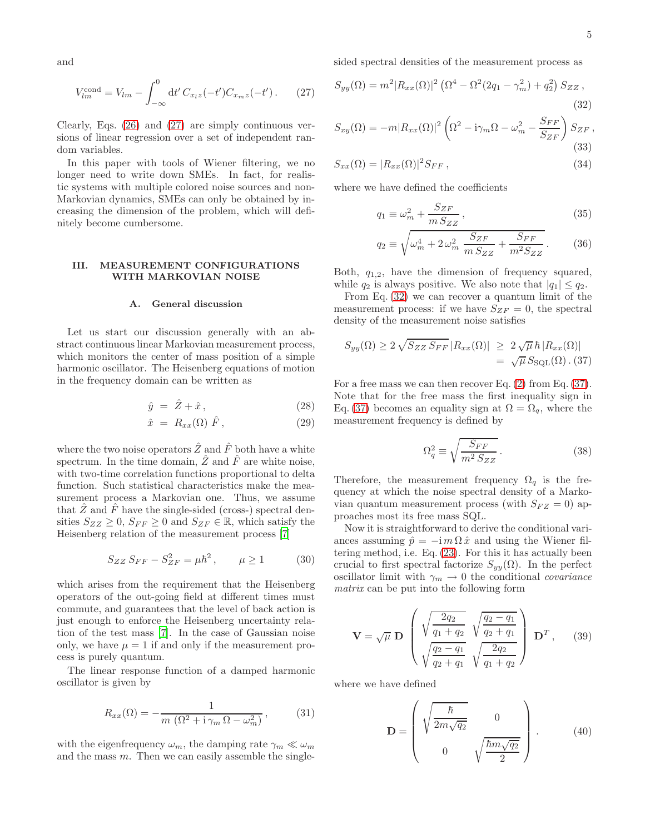and

<span id="page-4-1"></span>
$$
V_{lm}^{\text{cond}} = V_{lm} - \int_{-\infty}^{0} dt' C_{x_1 z}(-t') C_{x_m z}(-t') . \qquad (27)
$$

Clearly, Eqs. [\(26\)](#page-3-6) and [\(27\)](#page-4-1) are simply continuous versions of linear regression over a set of independent random variables.

In this paper with tools of Wiener filtering, we no longer need to write down SMEs. In fact, for realistic systems with multiple colored noise sources and non-Markovian dynamics, SMEs can only be obtained by increasing the dimension of the problem, which will definitely become cumbersome.

### <span id="page-4-0"></span>III. MEASUREMENT CONFIGURATIONS WITH MARKOVIAN NOISE

# A. General discussion

Let us start our discussion generally with an abstract continuous linear Markovian measurement process, which monitors the center of mass position of a simple harmonic oscillator. The Heisenberg equations of motion in the frequency domain can be written as

$$
\hat{y} = \hat{Z} + \hat{x},\tag{28}
$$

$$
\hat{x} = R_{xx}(\Omega) \hat{F}, \qquad (29)
$$

where the two noise operators  $\hat{Z}$  and  $\hat{F}$  both have a white spectrum. In the time domain,  $\overline{Z}$  and  $\overline{F}$  are white noise, with two-time correlation functions proportional to delta function. Such statistical characteristics make the measurement process a Markovian one. Thus, we assume that  $\hat{Z}$  and  $\hat{F}$  have the single-sided (cross-) spectral densities  $S_{ZZ} \geq 0$ ,  $S_{FF} \geq 0$  and  $S_{ZF} \in \mathbb{R}$ , which satisfy the Heisenberg relation of the measurement process [\[7\]](#page-17-6)

<span id="page-4-5"></span>
$$
S_{ZZ} S_{FF} - S_{ZF}^2 = \mu \hbar^2, \qquad \mu \ge 1 \tag{30}
$$

which arises from the requirement that the Heisenberg operators of the out-going field at different times must commute, and guarantees that the level of back action is just enough to enforce the Heisenberg uncertainty relation of the test mass [\[7\]](#page-17-6). In the case of Gaussian noise only, we have  $\mu = 1$  if and only if the measurement process is purely quantum.

The linear response function of a damped harmonic oscillator is given by

$$
R_{xx}(\Omega) = -\frac{1}{m\left(\Omega^2 + i\gamma_m\Omega - \omega_m^2\right)},\tag{31}
$$

with the eigenfrequency  $\omega_m$ , the damping rate  $\gamma_m \ll \omega_m$ and the mass  $m$ . Then we can easily assemble the singlesided spectral densities of the measurement process as

$$
S_{yy}(\Omega) = m^2 |R_{xx}(\Omega)|^2 \left(\Omega^4 - \Omega^2 (2q_1 - \gamma_m^2) + q_2^2\right) S_{ZZ},
$$
\n(32)

$$
S_{xy}(\Omega) = -m|R_{xx}(\Omega)|^2 \left(\Omega^2 - i\gamma_m \Omega - \omega_m^2 - \frac{S_{FF}}{S_{ZF}}\right) S_{ZF},
$$
\n(33)

$$
S_{xx}(\Omega) = |R_{xx}(\Omega)|^2 S_{FF}, \qquad (34)
$$

where we have defined the coefficients

<span id="page-4-2"></span>
$$
q_1 \equiv \omega_m^2 + \frac{S_{ZF}}{m \, S_{ZZ}},\tag{35}
$$

$$
q_2 \equiv \sqrt{\omega_m^4 + 2\,\omega_m^2 \,\frac{S_{ZF}}{m\,S_{ZZ}} + \frac{S_{FF}}{m^2 S_{ZZ}}}.\tag{36}
$$

Both,  $q_{1,2}$ , have the dimension of frequency squared, while  $q_2$  is always positive. We also note that  $|q_1| \leq q_2$ .

From Eq. [\(32\)](#page-4-2) we can recover a quantum limit of the measurement process: if we have  $S_{ZF} = 0$ , the spectral density of the measurement noise satisfies

<span id="page-4-3"></span>
$$
S_{yy}(\Omega) \ge 2\sqrt{S_{ZZ} S_{FF}} |R_{xx}(\Omega)| \ge 2\sqrt{\mu} \hbar |R_{xx}(\Omega)|
$$
  
=  $\sqrt{\mu} S_{\text{SQL}}(\Omega) . (37)$ 

For a free mass we can then recover Eq.  $(2)$  from Eq.  $(37)$ . Note that for the free mass the first inequality sign in Eq. [\(37\)](#page-4-3) becomes an equality sign at  $\Omega = \Omega_q$ , where the measurement frequency is defined by

$$
\Omega_q^2 \equiv \sqrt{\frac{S_{FF}}{m^2 \, S_{ZZ}}} \,. \tag{38}
$$

Therefore, the measurement frequency  $\Omega_q$  is the frequency at which the noise spectral density of a Markovian quantum measurement process (with  $S_{FZ} = 0$ ) approaches most its free mass SQL.

Now it is straightforward to derive the conditional variances assuming  $\hat{p} = -\mathrm{i} m \Omega \hat{x}$  and using the Wiener filtering method, i.e. Eq. [\(23\)](#page-3-7). For this it has actually been crucial to first spectral factorize  $S_{yy}(\Omega)$ . In the perfect oscillator limit with  $\gamma_m \to 0$  the conditional *covariance* matrix can be put into the following form

<span id="page-4-4"></span>
$$
\mathbf{V} = \sqrt{\mu} \mathbf{D} \begin{pmatrix} \sqrt{\frac{2q_2}{q_1 + q_2}} & \sqrt{\frac{q_2 - q_1}{q_2 + q_1}} \\ \sqrt{\frac{q_2 - q_1}{q_2 + q_1}} & \sqrt{\frac{2q_2}{q_1 + q_2}} \end{pmatrix} \mathbf{D}^T, \qquad (39)
$$

where we have defined

$$
\mathbf{D} = \begin{pmatrix} \sqrt{\frac{\hbar}{2m\sqrt{q_2}}} & 0\\ 0 & \sqrt{\frac{\hbar m\sqrt{q_2}}{2}} \end{pmatrix} . \tag{40}
$$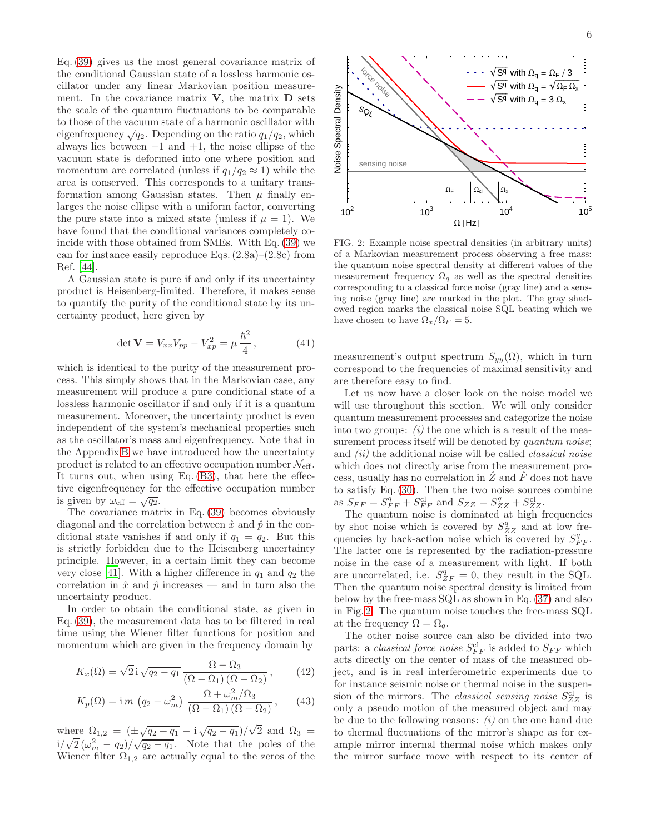Eq. [\(39\)](#page-4-4) gives us the most general covariance matrix of the conditional Gaussian state of a lossless harmonic oscillator under any linear Markovian position measurement. In the covariance matrix  $V$ , the matrix  $D$  sets the scale of the quantum fluctuations to be comparable to those of the vacuum state of a harmonic oscillator with eigenfrequency  $\sqrt{q_2}$ . Depending on the ratio  $q_1/q_2$ , which always lies between  $-1$  and  $+1$ , the noise ellipse of the vacuum state is deformed into one where position and momentum are correlated (unless if  $q_1/q_2 \approx 1$ ) while the area is conserved. This corresponds to a unitary transformation among Gaussian states. Then  $\mu$  finally enlarges the noise ellipse with a uniform factor, converting the pure state into a mixed state (unless if  $\mu = 1$ ). We have found that the conditional variances completely coincide with those obtained from SMEs. With Eq. [\(39\)](#page-4-4) we can for instance easily reproduce Eqs.  $(2.8a)$ – $(2.8c)$  from Ref. [\[44\]](#page-18-19).

A Gaussian state is pure if and only if its uncertainty product is Heisenberg-limited. Therefore, it makes sense to quantify the purity of the conditional state by its uncertainty product, here given by

<span id="page-5-1"></span>
$$
\det \mathbf{V} = V_{xx} V_{pp} - V_{xp}^2 = \mu \frac{\hbar^2}{4}, \qquad (41)
$$

which is identical to the purity of the measurement process. This simply shows that in the Markovian case, any measurement will produce a pure conditional state of a lossless harmonic oscillator if and only if it is a quantum measurement. Moreover, the uncertainty product is even independent of the system's mechanical properties such as the oscillator's mass and eigenfrequency. Note that in the Appendix [B](#page-17-24) we have introduced how the uncertainty product is related to an effective occupation number  $\mathcal{N}_{\text{eff}}$ . It turns out, when using Eq. [\(B3\)](#page-17-25), that here the effective eigenfrequency for the effective occupation number is given by  $\omega_{\text{eff}} = \sqrt{q_2}$ .

The covariance matrix in Eq. [\(39\)](#page-4-4) becomes obviously diagonal and the correlation between  $\hat{x}$  and  $\hat{p}$  in the conditional state vanishes if and only if  $q_1 = q_2$ . But this is strictly forbidden due to the Heisenberg uncertainty principle. However, in a certain limit they can become very close [\[41](#page-18-16)]. With a higher difference in  $q_1$  and  $q_2$  the correlation in  $\hat{x}$  and  $\hat{p}$  increases — and in turn also the uncertainty product.

In order to obtain the conditional state, as given in Eq. [\(39\)](#page-4-4), the measurement data has to be filtered in real time using the Wiener filter functions for position and momentum which are given in the frequency domain by

$$
K_x(\Omega) = \sqrt{2} \mathbf{i} \sqrt{q_2 - q_1} \frac{\Omega - \Omega_3}{(\Omega - \Omega_1)(\Omega - \Omega_2)},\qquad(42)
$$

$$
K_p(\Omega) = \text{i} m \left( q_2 - \omega_m^2 \right) \frac{\Omega + \omega_m^2 / \Omega_3}{(\Omega - \Omega_1) \left( \Omega - \Omega_2 \right)}, \quad (43)
$$

where  $\Omega_{1,2} = (\pm \sqrt{q_2 + q_1} - i \sqrt{q_2 - q_1})/\sqrt{2}$  and  $\Omega_3 =$  $i/\sqrt{2}(\omega_m^2-q_2)/\sqrt{q_2-q_1}$ . Note that the poles of the Wiener filter  $\Omega_{1,2}$  are actually equal to the zeros of the



<span id="page-5-0"></span>FIG. 2: Example noise spectral densities (in arbitrary units) of a Markovian measurement process observing a free mass: the quantum noise spectral density at different values of the measurement frequency  $\Omega_q$  as well as the spectral densities corresponding to a classical force noise (gray line) and a sensing noise (gray line) are marked in the plot. The gray shadowed region marks the classical noise SQL beating which we have chosen to have  $\Omega_x/\Omega_F = 5$ .

measurement's output spectrum  $S_{yy}(\Omega)$ , which in turn correspond to the frequencies of maximal sensitivity and are therefore easy to find.

Let us now have a closer look on the noise model we will use throughout this section. We will only consider quantum measurement processes and categorize the noise into two groups:  $(i)$  the one which is a result of the measurement process itself will be denoted by *quantum noise*; and *(ii)* the additional noise will be called *classical noise* which does not directly arise from the measurement process, usually has no correlation in  $Z$  and  $F$  does not have to satisfy Eq. [\(30\)](#page-4-5). Then the two noise sources combine as  $S_{FF} = S_{FF}^{\tilde{q}} + S_{FF}^{\text{cl}}$  and  $S_{ZZ} = S_{ZZ}^q + S_{ZZ}^{\text{cl}}$ .

The quantum noise is dominated at high frequencies by shot noise which is covered by  $S_{ZZ}^q$  and at low frequencies by back-action noise which is covered by  $S_{FF}^q$ . The latter one is represented by the radiation-pressure noise in the case of a measurement with light. If both are uncorrelated, i.e.  $S_{ZF}^q = 0$ , they result in the SQL. Then the quantum noise spectral density is limited from below by the free-mass SQL as shown in Eq. [\(37\)](#page-4-3) and also in Fig. [2.](#page-5-0) The quantum noise touches the free-mass SQL at the frequency  $\Omega = \Omega_q$ .

The other noise source can also be divided into two parts: a *classical force noise*  $S_{FF}^{cl}$  is added to  $S_{FF}$  which acts directly on the center of mass of the measured object, and is in real interferometric experiments due to for instance seismic noise or thermal noise in the suspension of the mirrors. The *classical sensing noise*  $S^{cl}_{ZZ}$  is only a pseudo motion of the measured object and may be due to the following reasons:  $(i)$  on the one hand due to thermal fluctuations of the mirror's shape as for example mirror internal thermal noise which makes only the mirror surface move with respect to its center of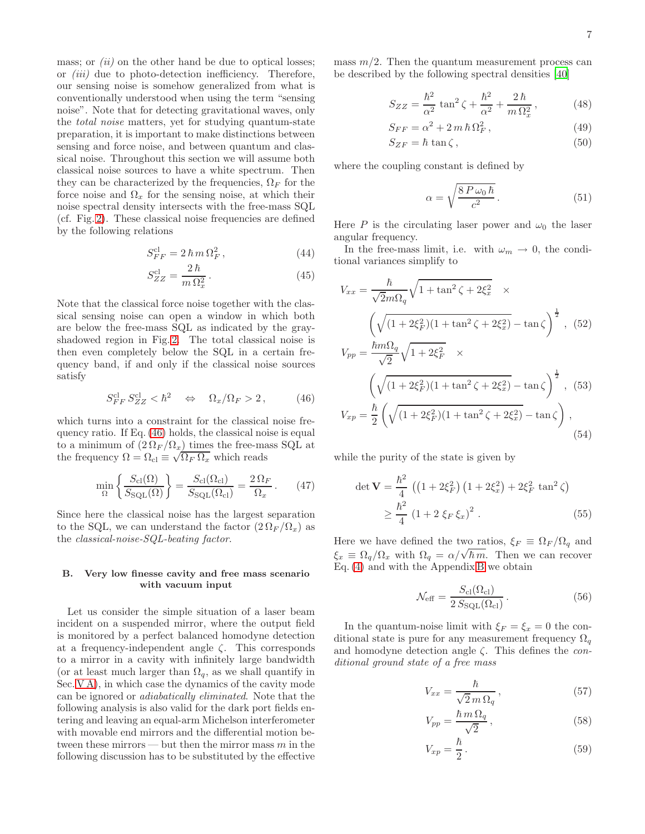mass; or  $(ii)$  on the other hand be due to optical losses; or (iii) due to photo-detection inefficiency. Therefore, our sensing noise is somehow generalized from what is conventionally understood when using the term "sensing noise". Note that for detecting gravitational waves, only the total noise matters, yet for studying quantum-state preparation, it is important to make distinctions between sensing and force noise, and between quantum and classical noise. Throughout this section we will assume both classical noise sources to have a white spectrum. Then they can be characterized by the frequencies,  $\Omega_F$  for the force noise and  $\Omega_x$  for the sensing noise, at which their noise spectral density intersects with the free-mass SQL (cf. Fig. [2\)](#page-5-0). These classical noise frequencies are defined by the following relations

$$
S_{FF}^{\rm cl} = 2\,\hbar\,m\,\Omega_F^2\,,\tag{44}
$$

$$
S_{ZZ}^{\rm cl} = \frac{2\,\hbar}{m\,\Omega_x^2} \,. \tag{45}
$$

Note that the classical force noise together with the classical sensing noise can open a window in which both are below the free-mass SQL as indicated by the grayshadowed region in Fig. [2.](#page-5-0) The total classical noise is then even completely below the SQL in a certain frequency band, if and only if the classical noise sources satisfy

<span id="page-6-0"></span>
$$
S_{FF}^{\rm cl} S_{ZZ}^{\rm cl} < \hbar^2 \quad \Leftrightarrow \quad \Omega_x / \Omega_F > 2, \tag{46}
$$

which turns into a constraint for the classical noise frequency ratio. If Eq. [\(46\)](#page-6-0) holds, the classical noise is equal to a minimum of  $(2 \Omega_F/\Omega_x)$  times the free-mass SQL at the frequency  $\Omega = \Omega_{\text{cl}} \equiv \sqrt{\Omega_F \Omega_x}$  which reads

<span id="page-6-4"></span>
$$
\min_{\Omega} \left\{ \frac{S_{\text{cl}}(\Omega)}{S_{\text{SQL}}(\Omega)} \right\} = \frac{S_{\text{cl}}(\Omega_{\text{cl}})}{S_{\text{SQL}}(\Omega_{\text{cl}})} = \frac{2 \Omega_F}{\Omega_x} \,. \tag{47}
$$

Since here the classical noise has the largest separation to the SQL, we can understand the factor  $(2 \Omega_F / \Omega_x)$  as the classical-noise-SQL-beating factor.

### B. Very low finesse cavity and free mass scenario with vacuum input

Let us consider the simple situation of a laser beam incident on a suspended mirror, where the output field is monitored by a perfect balanced homodyne detection at a frequency-independent angle  $\zeta$ . This corresponds to a mirror in a cavity with infinitely large bandwidth (or at least much larger than  $\Omega_q$ , as we shall quantify in Sec. [V A\)](#page-10-1), in which case the dynamics of the cavity mode can be ignored or adiabatically eliminated. Note that the following analysis is also valid for the dark port fields entering and leaving an equal-arm Michelson interferometer with movable end mirrors and the differential motion between these mirrors — but then the mirror mass  $m$  in the following discussion has to be substituted by the effective

mass  $m/2$ . Then the quantum measurement process can be described by the following spectral densities [\[40\]](#page-18-15)

$$
S_{ZZ} = \frac{\hbar^2}{\alpha^2} \tan^2 \zeta + \frac{\hbar^2}{\alpha^2} + \frac{2\,\hbar}{m\,\Omega_x^2} \,,\tag{48}
$$

$$
S_{FF} = \alpha^2 + 2m\,\hbar\,\Omega_F^2\,,\tag{49}
$$

$$
S_{ZF} = \hbar \tan \zeta, \qquad (50)
$$

where the coupling constant is defined by

<span id="page-6-2"></span>
$$
\alpha = \sqrt{\frac{8 \, P \, \omega_0 \, \hbar}{c^2}} \,. \tag{51}
$$

Here P is the circulating laser power and  $\omega_0$  the laser angular frequency.

In the free-mass limit, i.e. with  $\omega_m \to 0$ , the conditional variances simplify to

$$
V_{xx} = \frac{\hbar}{\sqrt{2m\Omega_q}} \sqrt{1 + \tan^2 \zeta + 2\xi_x^2} \times
$$
  

$$
\left(\sqrt{(1 + 2\xi_F^2)(1 + \tan^2 \zeta + 2\xi_x^2)} - \tan \zeta\right)^{\frac{1}{2}}, (52)
$$
  

$$
V_{pp} = \frac{\hbar m \Omega_q}{\sqrt{2}} \sqrt{1 + 2\xi_F^2} \times
$$
  

$$
\left(\sqrt{(1 + 2\xi_F^2)(1 + \tan^2 \zeta + 2\xi_x^2)} - \tan \zeta\right)^{\frac{1}{2}}, (53)
$$
  

$$
V_{xp} = \frac{\hbar}{2} \left(\sqrt{(1 + 2\xi_F^2)(1 + \tan^2 \zeta + 2\xi_x^2)} - \tan \zeta\right),
$$
  
(54)

while the purity of the state is given by

$$
\det \mathbf{V} = \frac{\hbar^2}{4} \left( \left( 1 + 2\xi_F^2 \right) \left( 1 + 2\xi_x^2 \right) + 2\xi_F^2 \tan^2 \zeta \right)
$$
  
 
$$
\geq \frac{\hbar^2}{4} \left( 1 + 2 \xi_F \xi_x \right)^2 . \tag{55}
$$

Here we have defined the two ratios,  $\xi_F \equiv \Omega_F / \Omega_q$  and  $\xi_x \equiv \Omega_q/\Omega_x$  with  $\Omega_q = \alpha/\sqrt{\hbar m}$ . Then we can recover Eq. [\(4\)](#page-1-1) and with the Appendix [B](#page-17-24) we obtain

<span id="page-6-5"></span><span id="page-6-3"></span><span id="page-6-1"></span>
$$
\mathcal{N}_{\text{eff}} = \frac{S_{\text{cl}}(\Omega_{\text{cl}})}{2 S_{\text{SQL}}(\Omega_{\text{cl}})}.
$$
\n(56)

In the quantum-noise limit with  $\xi_F = \xi_x = 0$  the conditional state is pure for any measurement frequency  $\Omega_q$ and homodyne detection angle  $\zeta$ . This defines the *con*ditional ground state of a free mass

$$
V_{xx} = \frac{\hbar}{\sqrt{2}m\,\Omega_q} \,,\tag{57}
$$

$$
V_{pp} = \frac{\hbar \, m \, \Omega_q}{\sqrt{2}}\,,\tag{58}
$$

$$
V_{xp} = \frac{\hbar}{2} \,. \tag{59}
$$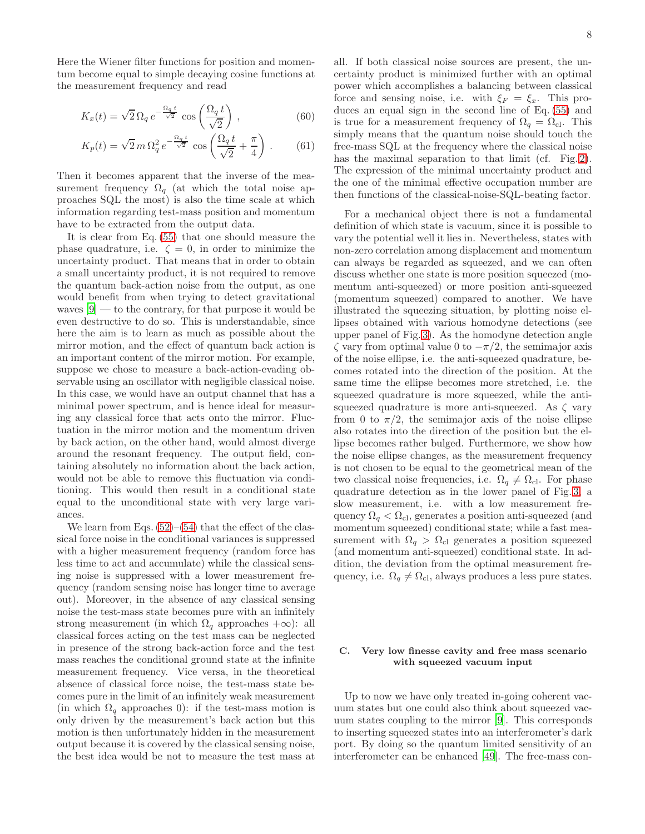Here the Wiener filter functions for position and momentum become equal to simple decaying cosine functions at the measurement frequency and read

$$
K_x(t) = \sqrt{2} \,\Omega_q \, e^{-\frac{\Omega_q \, t}{\sqrt{2}}} \, \cos\left(\frac{\Omega_q \, t}{\sqrt{2}}\right) \,,\tag{60}
$$

$$
K_p(t) = \sqrt{2} m \,\Omega_q^2 e^{-\frac{\Omega_q \, t}{\sqrt{2}}} \cos\left(\frac{\Omega_q \, t}{\sqrt{2}} + \frac{\pi}{4}\right) \,. \tag{61}
$$

Then it becomes apparent that the inverse of the measurement frequency  $\Omega_q$  (at which the total noise approaches SQL the most) is also the time scale at which information regarding test-mass position and momentum have to be extracted from the output data.

It is clear from Eq. [\(55\)](#page-6-1) that one should measure the phase quadrature, i.e.  $\zeta = 0$ , in order to minimize the uncertainty product. That means that in order to obtain a small uncertainty product, it is not required to remove the quantum back-action noise from the output, as one would benefit from when trying to detect gravitational waves  $[9]$  — to the contrary, for that purpose it would be even destructive to do so. This is understandable, since here the aim is to learn as much as possible about the mirror motion, and the effect of quantum back action is an important content of the mirror motion. For example, suppose we chose to measure a back-action-evading observable using an oscillator with negligible classical noise. In this case, we would have an output channel that has a minimal power spectrum, and is hence ideal for measuring any classical force that acts onto the mirror. Fluctuation in the mirror motion and the momentum driven by back action, on the other hand, would almost diverge around the resonant frequency. The output field, containing absolutely no information about the back action, would not be able to remove this fluctuation via conditioning. This would then result in a conditional state equal to the unconditional state with very large variances.

We learn from Eqs.  $(52)$ – $(54)$  that the effect of the classical force noise in the conditional variances is suppressed with a higher measurement frequency (random force has less time to act and accumulate) while the classical sensing noise is suppressed with a lower measurement frequency (random sensing noise has longer time to average out). Moreover, in the absence of any classical sensing noise the test-mass state becomes pure with an infinitely strong measurement (in which  $\Omega_q$  approaches  $+\infty$ ): all classical forces acting on the test mass can be neglected in presence of the strong back-action force and the test mass reaches the conditional ground state at the infinite measurement frequency. Vice versa, in the theoretical absence of classical force noise, the test-mass state becomes pure in the limit of an infinitely weak measurement (in which  $\Omega_q$  approaches 0): if the test-mass motion is only driven by the measurement's back action but this motion is then unfortunately hidden in the measurement output because it is covered by the classical sensing noise, the best idea would be not to measure the test mass at

all. If both classical noise sources are present, the uncertainty product is minimized further with an optimal power which accomplishes a balancing between classical force and sensing noise, i.e. with  $\xi_F = \xi_x$ . This produces an equal sign in the second line of Eq. [\(55\)](#page-6-1) and is true for a measurement frequency of  $\Omega_q = \Omega_{\text{cl}}$ . This simply means that the quantum noise should touch the free-mass SQL at the frequency where the classical noise has the maximal separation to that limit (cf. Fig. [2\)](#page-5-0). The expression of the minimal uncertainty product and the one of the minimal effective occupation number are then functions of the classical-noise-SQL-beating factor.

For a mechanical object there is not a fundamental definition of which state is vacuum, since it is possible to vary the potential well it lies in. Nevertheless, states with non-zero correlation among displacement and momentum can always be regarded as squeezed, and we can often discuss whether one state is more position squeezed (momentum anti-squeezed) or more position anti-squeezed (momentum squeezed) compared to another. We have illustrated the squeezing situation, by plotting noise ellipses obtained with various homodyne detections (see upper panel of Fig. [3\)](#page-8-1). As the homodyne detection angle  $\zeta$  vary from optimal value 0 to  $-\pi/2$ , the semimajor axis of the noise ellipse, i.e. the anti-squeezed quadrature, becomes rotated into the direction of the position. At the same time the ellipse becomes more stretched, i.e. the squeezed quadrature is more squeezed, while the antisqueezed quadrature is more anti-squeezed. As  $\zeta$  vary from 0 to  $\pi/2$ , the semimajor axis of the noise ellipse also rotates into the direction of the position but the ellipse becomes rather bulged. Furthermore, we show how the noise ellipse changes, as the measurement frequency is not chosen to be equal to the geometrical mean of the two classical noise frequencies, i.e.  $\Omega_q \neq \Omega_{\text{cl}}$ . For phase quadrature detection as in the lower panel of Fig. [3,](#page-8-1) a slow measurement, i.e. with a low measurement frequency  $\Omega_a < \Omega_{\rm cl}$ , generates a position anti-squeezed (and momentum squeezed) conditional state; while a fast measurement with  $\Omega_q > \Omega_{\text{cl}}$  generates a position squeezed (and momentum anti-squeezed) conditional state. In addition, the deviation from the optimal measurement frequency, i.e.  $\Omega_q \neq \Omega_{\text{cl}}$ , always produces a less pure states.

# C. Very low finesse cavity and free mass scenario with squeezed vacuum input

Up to now we have only treated in-going coherent vacuum states but one could also think about squeezed vacuum states coupling to the mirror [\[9](#page-17-8)]. This corresponds to inserting squeezed states into an interferometer's dark port. By doing so the quantum limited sensitivity of an interferometer can be enhanced [\[49\]](#page-18-24). The free-mass con-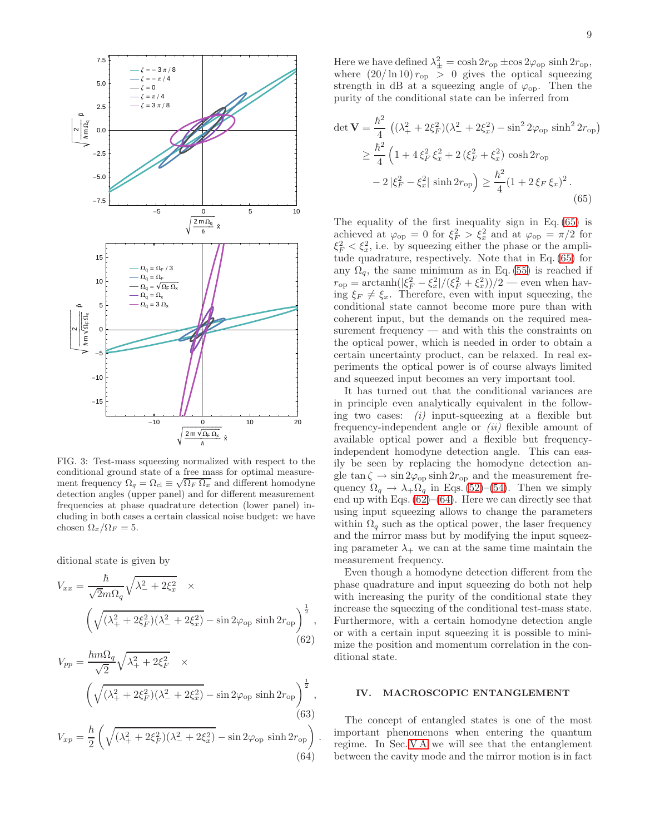

<span id="page-8-1"></span>FIG. 3: Test-mass squeezing normalized with respect to the conditional ground state of a free mass for optimal measurement frequency  $\Omega_q = \Omega_{\text{cl}} \equiv \sqrt{\Omega_F \Omega_x}$  and different homodyne detection angles (upper panel) and for different measurement frequencies at phase quadrature detection (lower panel) including in both cases a certain classical noise budget: we have chosen  $\Omega_x/\Omega_F = 5$ .

ditional state is given by

$$
V_{xx} = \frac{\hbar}{\sqrt{2m\Omega_q}} \sqrt{\lambda_-^2 + 2\xi_x^2} \times \left( \sqrt{(\lambda_+^2 + 2\xi_F^2)(\lambda_-^2 + 2\xi_x^2)} - \sin 2\varphi_{\text{op}} \sinh 2r_{\text{op}} \right)^{\frac{1}{2}},
$$
\n(62)

$$
V_{pp} = \frac{\hbar m \Omega_q}{\sqrt{2}} \sqrt{\lambda_+^2 + 2\xi_F^2} \times \left( \sqrt{(\lambda_+^2 + 2\xi_F^2)(\lambda_-^2 + 2\xi_x^2)} - \sin 2\varphi_{\text{op}} \sinh 2r_{\text{op}} \right)^{\frac{1}{2}},
$$
\n(63)

$$
V_{xp} = \frac{\hbar}{2} \left( \sqrt{(\lambda_+^2 + 2\xi_F^2)(\lambda_-^2 + 2\xi_x^2)} - \sin 2\varphi_{\text{op}} \sinh 2r_{\text{op}} \right)
$$
(64)

<span id="page-8-4"></span>.

Here we have defined  $\lambda_{\pm}^2 = \cosh 2r_{\rm op} \pm \cos 2\varphi_{\rm op} \sinh 2r_{\rm op}$ , where  $(20/\ln 10) r_{op} > 0$  gives the optical squeezing strength in dB at a squeezing angle of  $\varphi_{\text{op}}$ . Then the purity of the conditional state can be inferred from

$$
\det \mathbf{V} = \frac{\hbar^2}{4} \left( (\lambda_+^2 + 2\xi_F^2)(\lambda_-^2 + 2\xi_x^2) - \sin^2 2\varphi_{\text{op}} \sinh^2 2r_{\text{op}} \right)
$$
  
\n
$$
\geq \frac{\hbar^2}{4} \left( 1 + 4\xi_F^2 \xi_x^2 + 2(\xi_F^2 + \xi_x^2) \cosh 2r_{\text{op}} \right)
$$
  
\n
$$
- 2|\xi_F^2 - \xi_x^2| \sinh 2r_{\text{op}} \right) \geq \frac{\hbar^2}{4} (1 + 2\xi_F \xi_x)^2.
$$
 (65)

<span id="page-8-2"></span>The equality of the first inequality sign in Eq. [\(65\)](#page-8-2) is achieved at  $\varphi_{\text{op}} = 0$  for  $\xi_F^2 > \xi_x^2$  and at  $\varphi_{\text{op}} = \pi/2$  for  $\xi_F^2 < \xi_x^2$ , i.e. by squeezing either the phase or the amplitude quadrature, respectively. Note that in Eq. [\(65\)](#page-8-2) for any  $\Omega_q$ , the same minimum as in Eq. [\(55\)](#page-6-1) is reached if  $r_{\rm op} = \arctanh(|\xi_F^2 - \xi_x^2|/(\xi_F^2 + \xi_x^2))/2$  — even when having  $\xi_F \neq \xi_x$ . Therefore, even with input squeezing, the conditional state cannot become more pure than with coherent input, but the demands on the required measurement frequency — and with this the constraints on the optical power, which is needed in order to obtain a certain uncertainty product, can be relaxed. In real experiments the optical power is of course always limited and squeezed input becomes an very important tool.

It has turned out that the conditional variances are in principle even analytically equivalent in the following two cases:  $(i)$  input-squeezing at a flexible but frequency-independent angle or  $(ii)$  flexible amount of available optical power and a flexible but frequencyindependent homodyne detection angle. This can easily be seen by replacing the homodyne detection angle tan  $\zeta \to \sin 2\varphi_{\rm op} \sinh 2r_{\rm op}$  and the measurement frequency  $\Omega_q \to \lambda_+\Omega_q$  in Eqs. [\(52\)](#page-6-2)–[\(54\)](#page-6-3). Then we simply end up with Eqs.  $(62)$ – $(64)$ . Here we can directly see that using input squeezing allows to change the parameters within  $\Omega_q$  such as the optical power, the laser frequency and the mirror mass but by modifying the input squeezing parameter  $\lambda_+$  we can at the same time maintain the measurement frequency.

<span id="page-8-3"></span>Even though a homodyne detection different from the phase quadrature and input squeezing do both not help with increasing the purity of the conditional state they increase the squeezing of the conditional test-mass state. Furthermore, with a certain homodyne detection angle or with a certain input squeezing it is possible to minimize the position and momentum correlation in the conditional state.

### <span id="page-8-0"></span>IV. MACROSCOPIC ENTANGLEMENT

The concept of entangled states is one of the most important phenomenons when entering the quantum regime. In Sec. [V A](#page-10-1) we will see that the entanglement between the cavity mode and the mirror motion is in fact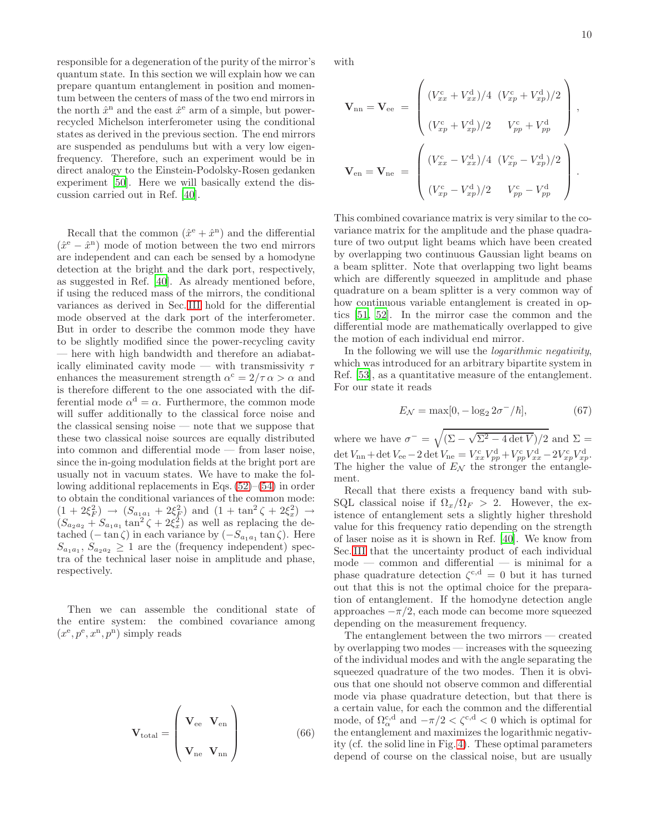responsible for a degeneration of the purity of the mirror's quantum state. In this section we will explain how we can prepare quantum entanglement in position and momentum between the centers of mass of the two end mirrors in the north  $\hat{x}^{\text{n}}$  and the east  $\hat{x}^{\text{e}}$  arm of a simple, but powerrecycled Michelson interferometer using the conditional states as derived in the previous section. The end mirrors are suspended as pendulums but with a very low eigenfrequency. Therefore, such an experiment would be in direct analogy to the Einstein-Podolsky-Rosen gedanken experiment [\[50](#page-18-25)]. Here we will basically extend the discussion carried out in Ref. [\[40\]](#page-18-15).

Recall that the common  $(\hat{x}^e + \hat{x}^n)$  and the differential  $(\hat{x}^e - \hat{x}^n)$  mode of motion between the two end mirrors are independent and can each be sensed by a homodyne detection at the bright and the dark port, respectively, as suggested in Ref. [\[40\]](#page-18-15). As already mentioned before, if using the reduced mass of the mirrors, the conditional variances as derived in Sec. [III](#page-4-0) hold for the differential mode observed at the dark port of the interferometer. But in order to describe the common mode they have to be slightly modified since the power-recycling cavity — here with high bandwidth and therefore an adiabatically eliminated cavity mode — with transmissivity  $\tau$ enhances the measurement strength  $\alpha^c = 2/\tau \alpha > \alpha$  and is therefore different to the one associated with the differential mode  $\alpha^d = \alpha$ . Furthermore, the common mode will suffer additionally to the classical force noise and the classical sensing noise — note that we suppose that these two classical noise sources are equally distributed into common and differential mode — from laser noise, since the in-going modulation fields at the bright port are usually not in vacuum states. We have to make the following additional replacements in Eqs. [\(52\)](#page-6-2)–[\(54\)](#page-6-3) in order to obtain the conditional variances of the common mode:  $(1 + 2\xi_F^2) \rightarrow (S_{a_1 a_1} + 2\xi_F^2)$  and  $(1 + \tan^2 \zeta + 2\xi_x^2) \rightarrow$  $(S_{a_2a_2} + S_{a_1a_1} \tan^2 \zeta + 2\xi_x^2)$  as well as replacing the detached  $(-\tan \zeta)$  in each variance by  $(-S_{a_1a_1}\tan \zeta)$ . Here  $S_{a_1a_1}, S_{a_2a_2} \geq 1$  are the (frequency independent) spectra of the technical laser noise in amplitude and phase, respectively.

Then we can assemble the conditional state of the entire system: the combined covariance among  $(x^{\rm e}, p^{\rm e}, x^{\rm n}, p^{\rm n})$  simply reads

$$
\mathbf{V}_{\text{total}} = \begin{pmatrix} \mathbf{V}_{\text{ee}} & \mathbf{V}_{\text{en}} \\ \mathbf{V}_{\text{ne}} & \mathbf{V}_{\text{nn}} \end{pmatrix}
$$
 (66)

with

$$
\mathbf{V}_{\rm nn} = \mathbf{V}_{\rm ee} = \begin{pmatrix} (V_{xx}^{\rm c} + V_{xx}^{\rm d})/4 & (V_{xp}^{\rm c} + V_{xp}^{\rm d})/2 \\ & & \\ (V_{xp}^{\rm c} + V_{xp}^{\rm d})/2 & V_{pp}^{\rm c} + V_{pp}^{\rm d} \end{pmatrix},
$$

$$
\mathbf{V}_{\rm en} = \mathbf{V}_{\rm ne} = \begin{pmatrix} (V_{xx}^{\rm c} - V_{xx}^{\rm d})/4 & (V_{xp}^{\rm c} - V_{xp}^{\rm d})/2 \\ & & \\ (V_{xp}^{\rm c} - V_{xp}^{\rm d})/2 & V_{pp}^{\rm c} - V_{pp}^{\rm d} \end{pmatrix}.
$$

This combined covariance matrix is very similar to the covariance matrix for the amplitude and the phase quadrature of two output light beams which have been created by overlapping two continuous Gaussian light beams on a beam splitter. Note that overlapping two light beams which are differently squeezed in amplitude and phase quadrature on a beam splitter is a very common way of how continuous variable entanglement is created in optics [\[51](#page-18-26), [52](#page-18-27)]. In the mirror case the common and the differential mode are mathematically overlapped to give the motion of each individual end mirror.

In the following we will use the logarithmic negativity, which was introduced for an arbitrary bipartite system in Ref. [\[53\]](#page-18-28), as a quantitative measure of the entanglement. For our state it reads

$$
E_{\mathcal{N}} = \max[0, -\log_2 2\sigma^-/\hbar],\tag{67}
$$

where we have  $\sigma^- = \sqrt{(\Sigma - \sqrt{\Sigma^2 - 4 \det V})/2}$  and  $\Sigma =$  $\det V_{\text{nn}} + \det V_{\text{ee}} - 2 \det V_{\text{ne}} = V_{xx}^{\text{c}} V_{pp}^{\text{d}} + V_{pp}^{\text{c}} V_{xx}^{\text{d}} - 2 V_{xp}^{\text{c}} V_{xp}^{\text{d}}.$ The higher the value of  $E_N$  the stronger the entanglement.

Recall that there exists a frequency band with sub-SQL classical noise if  $\Omega_x/\Omega_F > 2$ . However, the existence of entanglement sets a slightly higher threshold value for this frequency ratio depending on the strength of laser noise as it is shown in Ref. [\[40](#page-18-15)]. We know from Sec. [III](#page-4-0) that the uncertainty product of each individual mode — common and differential — is minimal for a phase quadrature detection  $\zeta^{c,d} = 0$  but it has turned out that this is not the optimal choice for the preparation of entanglement. If the homodyne detection angle approaches  $-\pi/2$ , each mode can become more squeezed depending on the measurement frequency.

The entanglement between the two mirrors — created by overlapping two modes — increases with the squeezing of the individual modes and with the angle separating the squeezed quadrature of the two modes. Then it is obvious that one should not observe common and differential mode via phase quadrature detection, but that there is a certain value, for each the common and the differential mode, of  $\Omega_{\alpha}^{c,d}$  and  $-\pi/2 < \zeta^{c,d} < 0$  which is optimal for the entanglement and maximizes the logarithmic negativity (cf. the solid line in Fig. [4\)](#page-10-2). These optimal parameters depend of course on the classical noise, but are usually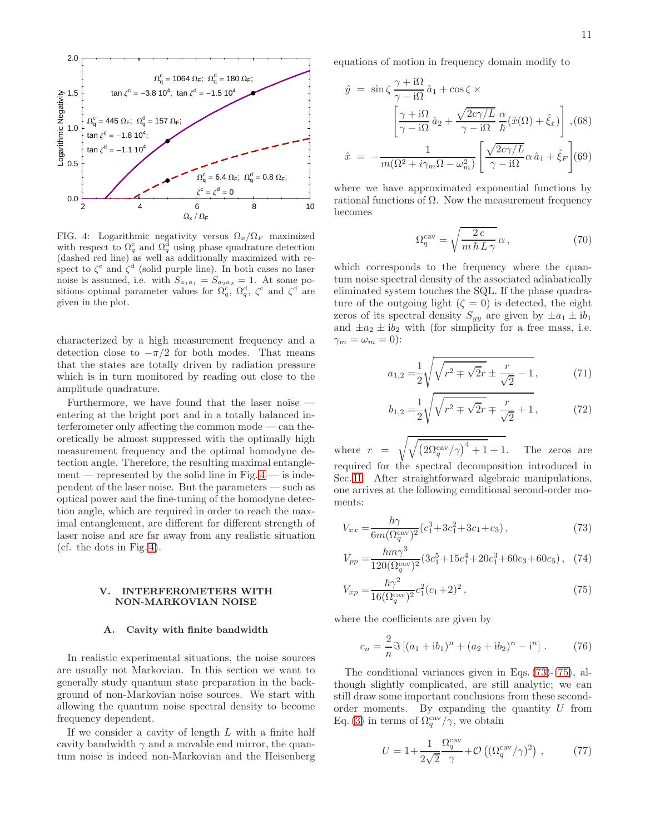

<span id="page-10-2"></span>FIG. 4: Logarithmic negativity versus  $\Omega_x/\Omega_F$  maximized with respect to  $\Omega_q^c$  and  $\Omega_q^d$  using phase quadrature detection (dashed red line) as well as additionally maximized with respect to  $\zeta^c$  and  $\zeta^d$  (solid purple line). In both cases no laser noise is assumed, i.e. with  $S_{a_1a_1} = S_{a_2a_2} = 1$ . At some positions optimal parameter values for  $\Omega_q^c$ ,  $\Omega_q^d$ ,  $\zeta^c$  and  $\zeta^d$  are given in the plot.

characterized by a high measurement frequency and a detection close to  $-\pi/2$  for both modes. That means that the states are totally driven by radiation pressure which is in turn monitored by reading out close to the amplitude quadrature.

Furthermore, we have found that the laser noise entering at the bright port and in a totally balanced interferometer only affecting the common mode — can theoretically be almost suppressed with the optimally high measurement frequency and the optimal homodyne detection angle. Therefore, the resulting maximal entanglement — represented by the solid line in Fig.  $4$  — is independent of the laser noise. But the parameters — such as optical power and the fine-tuning of the homodyne detection angle, which are required in order to reach the maximal entanglement, are different for different strength of laser noise and are far away from any realistic situation (cf. the dots in Fig. [4\)](#page-10-2).

### <span id="page-10-0"></span>V. INTERFEROMETERS WITH NON-MARKOVIAN NOISE

#### <span id="page-10-1"></span>A. Cavity with finite bandwidth

In realistic experimental situations, the noise sources are usually not Markovian. In this section we want to generally study quantum state preparation in the background of non-Markovian noise sources. We start with allowing the quantum noise spectral density to become frequency dependent.

If we consider a cavity of length  $L$  with a finite half cavity bandwidth  $\gamma$  and a movable end mirror, the quantum noise is indeed non-Markovian and the Heisenberg equations of motion in frequency domain modify to

$$
\hat{y} = \sin\zeta \frac{\gamma + i\Omega}{\gamma - i\Omega} \hat{a}_1 + \cos\zeta \times
$$
\n
$$
\left[ \frac{\gamma + i\Omega}{\gamma - i\Omega} \hat{a}_2 + \frac{\sqrt{2c\gamma/L}}{\gamma - i\Omega} \frac{\alpha}{\hbar} (\hat{x}(\Omega) + \hat{\xi}_x) \right], (68)
$$
\n
$$
\hat{x} = -\frac{1}{m(\Omega^2 + i\gamma_m \Omega - \omega_m^2)} \left[ \frac{\sqrt{2c\gamma/L}}{\gamma - i\Omega} \alpha \hat{a}_1 + \hat{\xi}_F \right] (69)
$$

where we have approximated exponential functions by rational functions of  $\Omega$ . Now the measurement frequency becomes

<span id="page-10-5"></span>
$$
\Omega_q^{\text{cav}} = \sqrt{\frac{2c}{m\,\hbar\,L\,\gamma}}\,\alpha\,,\tag{70}
$$

which corresponds to the frequency where the quantum noise spectral density of the associated adiabatically eliminated system touches the SQL. If the phase quadrature of the outgoing light  $(\zeta = 0)$  is detected, the eight zeros of its spectral density  $S_{yy}$  are given by  $\pm a_1 \pm ib_1$ and  $\pm a_2 \pm ib_2$  with (for simplicity for a free mass, i.e.  $\gamma_m = \omega_m = 0$ :

$$
a_{1,2} = \frac{1}{2} \sqrt{\sqrt{r^2 \pm \sqrt{2}r} \pm \frac{r}{\sqrt{2}} - 1},
$$
 (71)

<span id="page-10-3"></span>
$$
b_{1,2} = \frac{1}{2} \sqrt{\sqrt{r^2 \mp \sqrt{2}r} \mp \frac{r}{\sqrt{2}} + 1},
$$
 (72)

where  $r$  $\sqrt{\sqrt{\left(2\Omega_q^{\text{cav}}/\gamma\right)^4}}$ The zeros are required for the spectral decomposition introduced in Sec. [II.](#page-2-0) After straightforward algebraic manipulations, one arrives at the following conditional second-order moments:

$$
V_{xx} = \frac{\hbar \gamma}{6m(\Omega_q^{\text{cav}})^2} (c_1^3 + 3c_1^2 + 3c_1 + c_3), \qquad (73)
$$

$$
V_{pp} = \frac{\hbar m \gamma^3}{120(\Omega_q^{\text{cav}})^2} (3c_1^5 + 15c_1^4 + 20c_1^3 + 60c_3 + 60c_5), \quad (74)
$$

$$
V_{xp} = \frac{\hbar \gamma^2}{16(\Omega_q^{\text{cav}})^2} c_1^2 (c_1 + 2)^2 ,\qquad (75)
$$

where the coefficients are given by

<span id="page-10-4"></span>
$$
c_n = \frac{2}{n} \Im \left[ (a_1 + ib_1)^n + (a_2 + ib_2)^n - i^n \right].
$$
 (76)

The conditional variances given in Eqs. [\(73\)](#page-10-3)-[\(75\)](#page-10-4), although slightly complicated, are still analytic; we can still draw some important conclusions from these secondorder moments. By expanding the quantity U from Eq. [\(3\)](#page-1-2) in terms of  $\Omega_q^{\text{cav}}/\gamma$ , we obtain

$$
U = 1 + \frac{1}{2\sqrt{2}} \frac{\Omega_q^{\text{cav}}}{\gamma} + \mathcal{O}\left((\Omega_q^{\text{cav}}/\gamma)^2\right) ,\qquad (77)
$$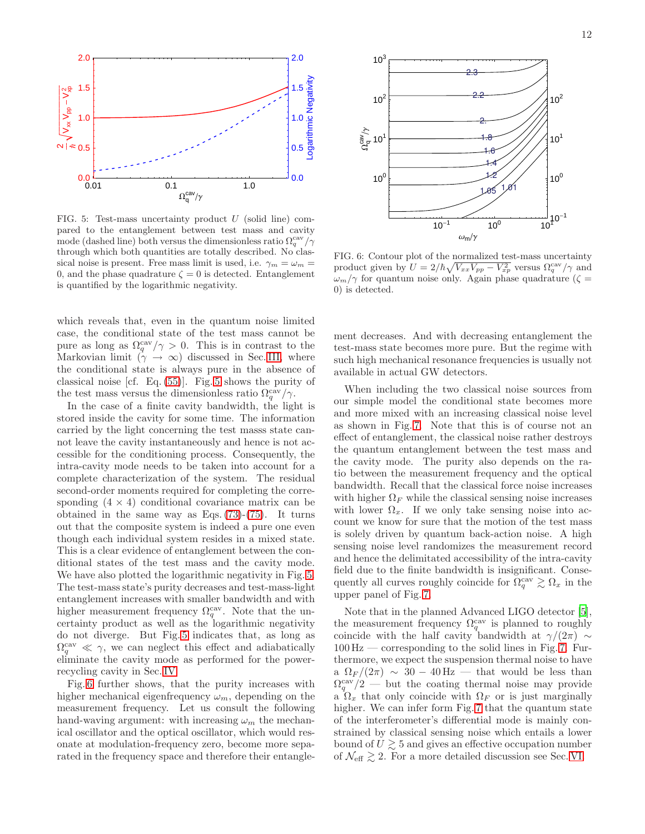

<span id="page-11-0"></span>FIG. 5: Test-mass uncertainty product  $U$  (solid line) compared to the entanglement between test mass and cavity mode (dashed line) both versus the dimensionless ratio  $\Omega_q^{\text{cav}}/\gamma$ through which both quantities are totally described. No classical noise is present. Free mass limit is used, i.e.  $\gamma_m = \omega_m =$ 0, and the phase quadrature  $\zeta = 0$  is detected. Entanglement is quantified by the logarithmic negativity.

which reveals that, even in the quantum noise limited case, the conditional state of the test mass cannot be pure as long as  $\Omega_q^{\text{cav}}/\gamma > 0$ . This is in contrast to the Markovian limit  $(\gamma \to \infty)$  discussed in Sec. [III,](#page-4-0) where the conditional state is always pure in the absence of classical noise [cf. Eq. [\(55\)](#page-6-1)]. Fig. [5](#page-11-0) shows the purity of the test mass versus the dimensionless ratio  $\Omega_q^{\text{cav}}/\gamma$ .

In the case of a finite cavity bandwidth, the light is stored inside the cavity for some time. The information carried by the light concerning the test masss state cannot leave the cavity instantaneously and hence is not accessible for the conditioning process. Consequently, the intra-cavity mode needs to be taken into account for a complete characterization of the system. The residual second-order moments required for completing the corresponding  $(4 \times 4)$  conditional covariance matrix can be obtained in the same way as Eqs.  $(73)-(75)$  $(73)-(75)$ . It turns out that the composite system is indeed a pure one even though each individual system resides in a mixed state. This is a clear evidence of entanglement between the conditional states of the test mass and the cavity mode. We have also plotted the logarithmic negativity in Fig. [5.](#page-11-0) The test-mass state's purity decreases and test-mass-light entanglement increases with smaller bandwidth and with higher measurement frequency  $\Omega_q^{\text{cav}}$ . Note that the uncertainty product as well as the logarithmic negativity do not diverge. But Fig. [5](#page-11-0) indicates that, as long as  $\Omega_q^{\text{cav}} \ll \gamma$ , we can neglect this effect and adiabatically eliminate the cavity mode as performed for the powerrecycling cavity in Sec. [IV.](#page-8-0)

Fig. [6](#page-11-1) further shows, that the purity increases with higher mechanical eigenfrequency  $\omega_m$ , depending on the measurement frequency. Let us consult the following hand-waving argument: with increasing  $\omega_m$  the mechanical oscillator and the optical oscillator, which would resonate at modulation-frequency zero, become more separated in the frequency space and therefore their entangle-



<span id="page-11-1"></span>FIG. 6: Contour plot of the normalized test-mass uncertainty product given by  $U = 2/\hbar \sqrt{V_{xx}V_{pp} - V_{xp}^2}$  versus  $\Omega_q^{\text{cav}}/\gamma$  and  $\omega_m/\gamma$  for quantum noise only. Again phase quadrature ( $\zeta =$ 0) is detected.

ment decreases. And with decreasing entanglement the test-mass state becomes more pure. But the regime with such high mechanical resonance frequencies is usually not available in actual GW detectors.

When including the two classical noise sources from our simple model the conditional state becomes more and more mixed with an increasing classical noise level as shown in Fig. [7.](#page-12-0) Note that this is of course not an effect of entanglement, the classical noise rather destroys the quantum entanglement between the test mass and the cavity mode. The purity also depends on the ratio between the measurement frequency and the optical bandwidth. Recall that the classical force noise increases with higher  $\Omega_F$  while the classical sensing noise increases with lower  $\Omega_x$ . If we only take sensing noise into account we know for sure that the motion of the test mass is solely driven by quantum back-action noise. A high sensing noise level randomizes the measurement record and hence the delimitated accessibility of the intra-cavity field due to the finite bandwidth is insignificant. Consequently all curves roughly coincide for  $\Omega_q^{\text{cav}} \gtrsim \Omega_x$  in the upper panel of Fig. [7.](#page-12-0)

Note that in the planned Advanced LIGO detector [\[5\]](#page-17-4), the measurement frequency  $\Omega_q^{\text{cav}}$  is planned to roughly coincide with the half cavity bandwidth at  $\gamma/(2\pi) \sim$  $100 \text{ Hz}$  — corresponding to the solid lines in Fig. [7.](#page-12-0) Furthermore, we expect the suspension thermal noise to have a  $\Omega_F/(2\pi) \sim 30 - 40$  Hz — that would be less than  $\Omega_q^{\text{cav}}/2$  — but the coating thermal noise may provide a  $\Omega_x$  that only coincide with  $\Omega_F$  or is just marginally higher. We can infer form Fig. [7](#page-12-0) that the quantum state of the interferometer's differential mode is mainly constrained by classical sensing noise which entails a lower bound of  $U \geq 5$  and gives an effective occupation number of  $\mathcal{N}_{\text{eff}} \gtrsim 2$ . For a more detailed discussion see Sec. [VI.](#page-14-0)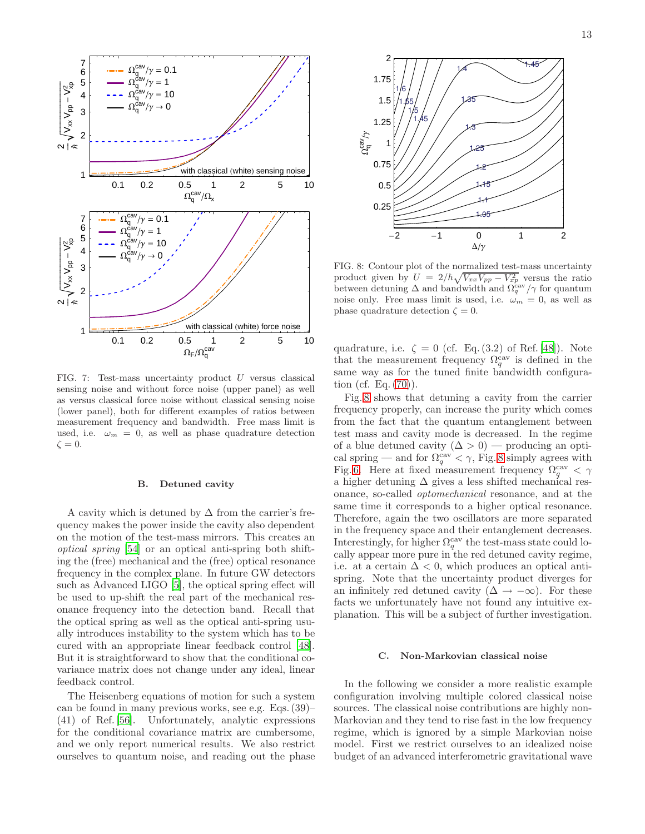

<span id="page-12-0"></span>FIG. 7: Test-mass uncertainty product U versus classical sensing noise and without force noise (upper panel) as well as versus classical force noise without classical sensing noise (lower panel), both for different examples of ratios between measurement frequency and bandwidth. Free mass limit is used, i.e.  $\omega_m = 0$ , as well as phase quadrature detection  $\zeta = 0.$ 

### B. Detuned cavity

A cavity which is detuned by  $\Delta$  from the carrier's frequency makes the power inside the cavity also dependent on the motion of the test-mass mirrors. This creates an optical spring [\[54\]](#page-18-29) or an optical anti-spring both shifting the (free) mechanical and the (free) optical resonance frequency in the complex plane. In future GW detectors such as Advanced LIGO [\[5](#page-17-4)], the optical spring effect will be used to up-shift the real part of the mechanical resonance frequency into the detection band. Recall that the optical spring as well as the optical anti-spring usually introduces instability to the system which has to be cured with an appropriate linear feedback control [\[48\]](#page-18-23). But it is straightforward to show that the conditional covariance matrix does not change under any ideal, linear feedback control.

The Heisenberg equations of motion for such a system can be found in many previous works, see e.g. Eqs. (39)– (41) of Ref. [\[56](#page-18-30)]. Unfortunately, analytic expressions for the conditional covariance matrix are cumbersome, and we only report numerical results. We also restrict ourselves to quantum noise, and reading out the phase



<span id="page-12-1"></span>FIG. 8: Contour plot of the normalized test-mass uncertainty product given by  $U = 2/\hbar \sqrt{V_{xx}V_{pp} - V_{xp}^2}$  versus the ratio between detuning  $\Delta$  and bandwidth and  $\Omega_q^{\text{cav}}/\gamma$  for quantum noise only. Free mass limit is used, i.e.  $\omega_m = 0$ , as well as phase quadrature detection  $\zeta = 0$ .

quadrature, i.e.  $\zeta = 0$  (cf. Eq. (3.2) of Ref. [\[48\]](#page-18-23)). Note that the measurement frequency  $\Omega_q^{\text{cav}}$  is defined in the same way as for the tuned finite bandwidth configuration (cf. Eq. [\(70\)](#page-10-5)).

Fig. [8](#page-12-1) shows that detuning a cavity from the carrier frequency properly, can increase the purity which comes from the fact that the quantum entanglement between test mass and cavity mode is decreased. In the regime of a blue detuned cavity  $(\Delta > 0)$  — producing an optical spring — and for  $\Omega_q^{\text{cav}} < \gamma$ , Fig. [8](#page-12-1) simply agrees with Fig. [6.](#page-11-1) Here at fixed measurement frequency  $\Omega_q^{\text{cav}} < \gamma$ a higher detuning  $\Delta$  gives a less shifted mechanical resonance, so-called optomechanical resonance, and at the same time it corresponds to a higher optical resonance. Therefore, again the two oscillators are more separated in the frequency space and their entanglement decreases. Interestingly, for higher  $\Omega_q^{\text{cav}}$  the test-mass state could locally appear more pure in the red detuned cavity regime, i.e. at a certain  $\Delta < 0$ , which produces an optical antispring. Note that the uncertainty product diverges for an infinitely red detuned cavity  $(\Delta \rightarrow -\infty)$ . For these facts we unfortunately have not found any intuitive explanation. This will be a subject of further investigation.

### <span id="page-12-2"></span>C. Non-Markovian classical noise

In the following we consider a more realistic example configuration involving multiple colored classical noise sources. The classical noise contributions are highly non-Markovian and they tend to rise fast in the low frequency regime, which is ignored by a simple Markovian noise model. First we restrict ourselves to an idealized noise budget of an advanced interferometric gravitational wave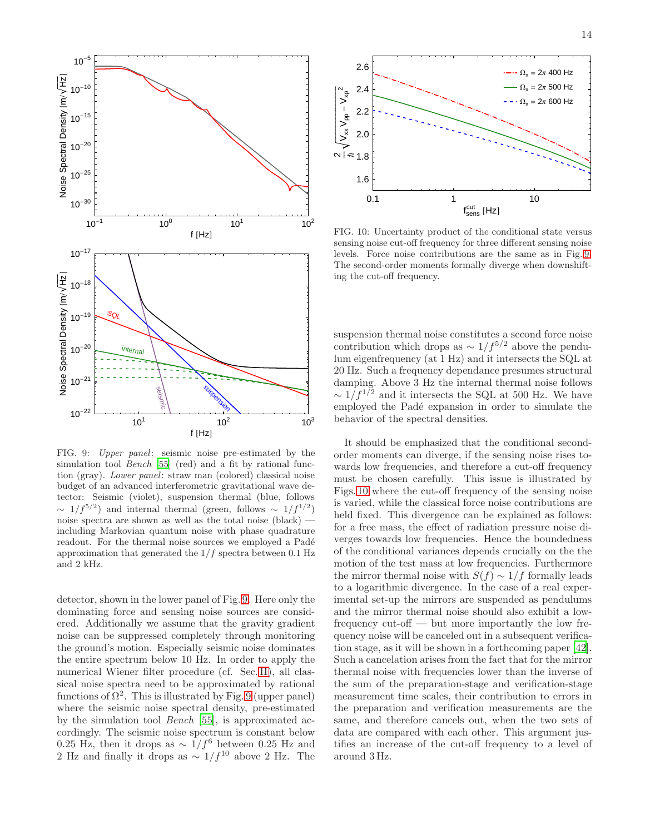

<span id="page-13-0"></span>FIG. 9: Upper panel: seismic noise pre-estimated by the simulation tool *Bench* [\[55](#page-18-31)] (red) and a fit by rational function (gray). Lower panel: straw man (colored) classical noise budget of an advanced interferometric gravitational wave detector: Seismic (violet), suspension thermal (blue, follows  $\sim 1/f^{5/2}$ ) and internal thermal (green, follows  $\sim 1/f^{1/2}$ ) noise spectra are shown as well as the total noise (black) including Markovian quantum noise with phase quadrature readout. For the thermal noise sources we employed a Padé approximation that generated the  $1/f$  spectra between 0.1 Hz and 2 kHz.

detector, shown in the lower panel of Fig. [9.](#page-13-0) Here only the dominating force and sensing noise sources are considered. Additionally we assume that the gravity gradient noise can be suppressed completely through monitoring the ground's motion. Especially seismic noise dominates the entire spectrum below 10 Hz. In order to apply the numerical Wiener filter procedure (cf. Sec. [II\)](#page-2-0), all classical noise spectra need to be approximated by rational functions of  $\Omega^2$ . This is illustrated by Fig. [9](#page-13-0) (upper panel) where the seismic noise spectral density, pre-estimated by the simulation tool Bench [\[55\]](#page-18-31), is approximated accordingly. The seismic noise spectrum is constant below 0.25 Hz, then it drops as  $\sim 1/f^6$  between 0.25 Hz and 2 Hz and finally it drops as  $\sim 1/f^{10}$  above 2 Hz. The



<span id="page-13-1"></span>FIG. 10: Uncertainty product of the conditional state versus sensing noise cut-off frequency for three different sensing noise levels. Force noise contributions are the same as in Fig. [9.](#page-13-0) The second-order moments formally diverge when downshifting the cut-off frequency.

suspension thermal noise constitutes a second force noise contribution which drops as  $\sim 1/f^{5/2}$  above the pendulum eigenfrequency (at 1 Hz) and it intersects the SQL at 20 Hz. Such a frequency dependance presumes structural damping. Above 3 Hz the internal thermal noise follows  $\sim 1/f^{1/2}$  and it intersects the SQL at 500 Hz. We have employed the Padé expansion in order to simulate the behavior of the spectral densities.

It should be emphasized that the conditional secondorder moments can diverge, if the sensing noise rises towards low frequencies, and therefore a cut-off frequency must be chosen carefully. This issue is illustrated by Figs. [10](#page-13-1) where the cut-off frequency of the sensing noise is varied, while the classical force noise contributions are held fixed. This divergence can be explained as follows: for a free mass, the effect of radiation pressure noise diverges towards low frequencies. Hence the boundedness of the conditional variances depends crucially on the the motion of the test mass at low frequencies. Furthermore the mirror thermal noise with  $S(f) \sim 1/f$  formally leads to a logarithmic divergence. In the case of a real experimental set-up the mirrors are suspended as pendulums and the mirror thermal noise should also exhibit a lowfrequency cut-off — but more importantly the low frequency noise will be canceled out in a subsequent verification stage, as it will be shown in a forthcoming paper [\[42\]](#page-18-17). Such a cancelation arises from the fact that for the mirror thermal noise with frequencies lower than the inverse of the sum of the preparation-stage and verification-stage measurement time scales, their contribution to errors in the preparation and verification measurements are the same, and therefore cancels out, when the two sets of data are compared with each other. This argument justifies an increase of the cut-off frequency to a level of around 3 Hz.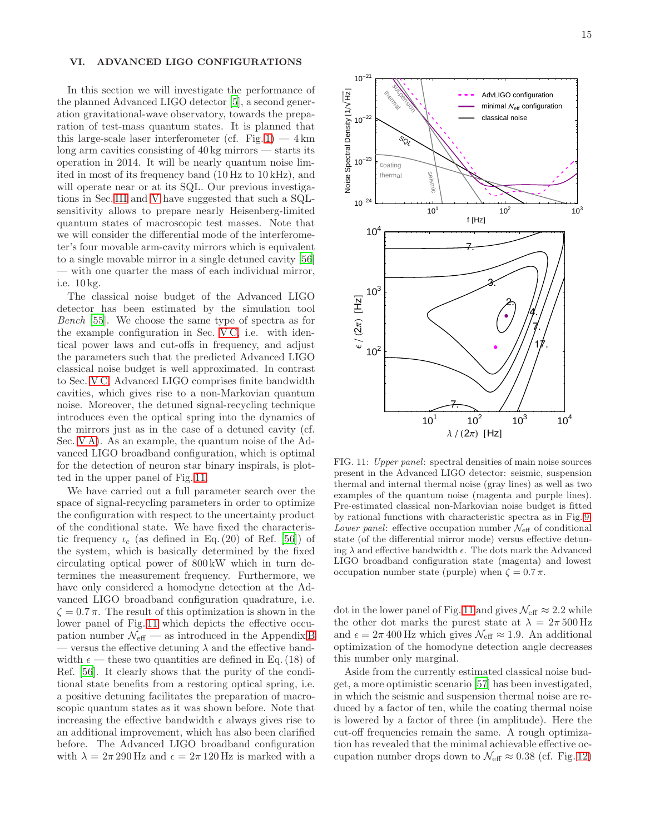### <span id="page-14-0"></span>VI. ADVANCED LIGO CONFIGURATIONS

In this section we will investigate the performance of the planned Advanced LIGO detector [\[5\]](#page-17-4), a second generation gravitational-wave observatory, towards the preparation of test-mass quantum states. It is planned that this large-scale laser interferometer (cf. Fig. [1\)](#page-1-0)  $-4 \text{ km}$ long arm cavities consisting of 40 kg mirrors — starts its operation in 2014. It will be nearly quantum noise limited in most of its frequency band (10 Hz to 10 kHz), and will operate near or at its SQL. Our previous investigations in Sec. [III](#page-4-0) and [V](#page-10-0) have suggested that such a SQLsensitivity allows to prepare nearly Heisenberg-limited quantum states of macroscopic test masses. Note that we will consider the differential mode of the interferometer's four movable arm-cavity mirrors which is equivalent to a single movable mirror in a single detuned cavity [\[56](#page-18-30)] — with one quarter the mass of each individual mirror, i.e. 10 kg.

The classical noise budget of the Advanced LIGO detector has been estimated by the simulation tool Bench [\[55](#page-18-31)]. We choose the same type of spectra as for the example configuration in Sec. [V C,](#page-12-2) i.e. with identical power laws and cut-offs in frequency, and adjust the parameters such that the predicted Advanced LIGO classical noise budget is well approximated. In contrast to Sec. [V C,](#page-12-2) Advanced LIGO comprises finite bandwidth cavities, which gives rise to a non-Markovian quantum noise. Moreover, the detuned signal-recycling technique introduces even the optical spring into the dynamics of the mirrors just as in the case of a detuned cavity (cf. Sec. [V A\)](#page-10-1). As an example, the quantum noise of the Advanced LIGO broadband configuration, which is optimal for the detection of neuron star binary inspirals, is plotted in the upper panel of Fig. [11.](#page-14-1)

We have carried out a full parameter search over the space of signal-recycling parameters in order to optimize the configuration with respect to the uncertainty product of the conditional state. We have fixed the characteristic frequency  $\iota_c$  (as defined in Eq. (20) of Ref. [\[56\]](#page-18-30)) of the system, which is basically determined by the fixed circulating optical power of 800 kW which in turn determines the measurement frequency. Furthermore, we have only considered a homodyne detection at the Advanced LIGO broadband configuration quadrature, i.e.  $\zeta = 0.7 \pi$ . The result of this optimization is shown in the lower panel of Fig. [11](#page-14-1) which depicts the effective occupation number  $\mathcal{N}_{\text{eff}}$  — as introduced in the Appendix [B](#page-17-24) — versus the effective detuning  $\lambda$  and the effective bandwidth  $\epsilon$  — these two quantities are defined in Eq. (18) of Ref. [\[56](#page-18-30)]. It clearly shows that the purity of the conditional state benefits from a restoring optical spring, i.e. a positive detuning facilitates the preparation of macroscopic quantum states as it was shown before. Note that increasing the effective bandwidth  $\epsilon$  always gives rise to an additional improvement, which has also been clarified before. The Advanced LIGO broadband configuration with  $\lambda = 2\pi 290$  Hz and  $\epsilon = 2\pi 120$  Hz is marked with a



<span id="page-14-1"></span>FIG. 11: Upper panel: spectral densities of main noise sources present in the Advanced LIGO detector: seismic, suspension thermal and internal thermal noise (gray lines) as well as two examples of the quantum noise (magenta and purple lines). Pre-estimated classical non-Markovian noise budget is fitted by rational functions with characteristic spectra as in Fig. [9.](#page-13-0) Lower panel: effective occupation number  $\mathcal{N}_{\text{eff}}$  of conditional state (of the differential mirror mode) versus effective detuning  $\lambda$  and effective bandwidth  $\epsilon$ . The dots mark the Advanced LIGO broadband configuration state (magenta) and lowest occupation number state (purple) when  $\zeta = 0.7 \pi$ .

dot in the lower panel of Fig. [11](#page-14-1) and gives  $\mathcal{N}_{\text{eff}} \approx 2.2$  while the other dot marks the purest state at  $\lambda = 2\pi 500 \,\mathrm{Hz}$ and  $\epsilon = 2\pi 400$  Hz which gives  $\mathcal{N}_{\text{eff}} \approx 1.9$ . An additional optimization of the homodyne detection angle decreases this number only marginal.

Aside from the currently estimated classical noise budget, a more optimistic scenario [\[57\]](#page-18-32) has been investigated, in which the seismic and suspension thermal noise are reduced by a factor of ten, while the coating thermal noise is lowered by a factor of three (in amplitude). Here the cut-off frequencies remain the same. A rough optimization has revealed that the minimal achievable effective occupation number drops down to  $\mathcal{N}_{\text{eff}} \approx 0.38$  (cf. Fig. [12\)](#page-15-1)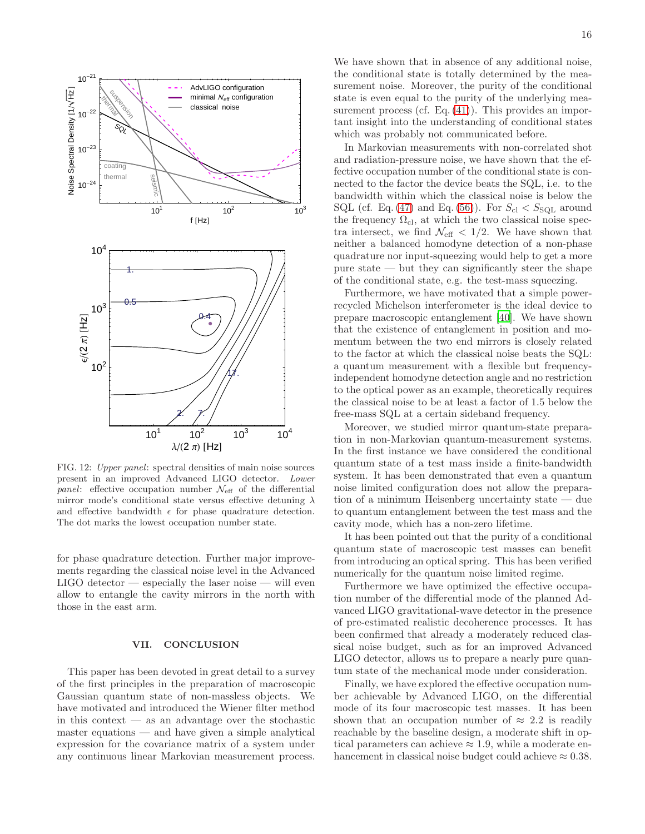

<span id="page-15-1"></span>FIG. 12: Upper panel: spectral densities of main noise sources present in an improved Advanced LIGO detector. Lower *panel*: effective occupation number  $\mathcal{N}_{\text{eff}}$  of the differential mirror mode's conditional state versus effective detuning  $\lambda$ and effective bandwidth  $\epsilon$  for phase quadrature detection. The dot marks the lowest occupation number state.

for phase quadrature detection. Further major improvements regarding the classical noise level in the Advanced  $LIGO$  detector — especially the laser noise — will even allow to entangle the cavity mirrors in the north with those in the east arm.

### <span id="page-15-0"></span>VII. CONCLUSION

This paper has been devoted in great detail to a survey of the first principles in the preparation of macroscopic Gaussian quantum state of non-massless objects. We have motivated and introduced the Wiener filter method in this context  $-$  as an advantage over the stochastic master equations — and have given a simple analytical expression for the covariance matrix of a system under any continuous linear Markovian measurement process.

We have shown that in absence of any additional noise, the conditional state is totally determined by the measurement noise. Moreover, the purity of the conditional state is even equal to the purity of the underlying measurement process (cf. Eq.  $(41)$ ). This provides an important insight into the understanding of conditional states which was probably not communicated before.

In Markovian measurements with non-correlated shot and radiation-pressure noise, we have shown that the effective occupation number of the conditional state is connected to the factor the device beats the SQL, i.e. to the bandwidth within which the classical noise is below the SQL (cf. Eq. [\(47\)](#page-6-4) and Eq. [\(56\)](#page-6-5)). For  $S_{\text{cl}} < S_{\text{SQL}}$  around the frequency  $\Omega_{\text{cl}}$ , at which the two classical noise spectra intersect, we find  $\mathcal{N}_{\text{eff}} < 1/2$ . We have shown that neither a balanced homodyne detection of a non-phase quadrature nor input-squeezing would help to get a more pure state — but they can significantly steer the shape of the conditional state, e.g. the test-mass squeezing.

Furthermore, we have motivated that a simple powerrecycled Michelson interferometer is the ideal device to prepare macroscopic entanglement [\[40\]](#page-18-15). We have shown that the existence of entanglement in position and momentum between the two end mirrors is closely related to the factor at which the classical noise beats the SQL: a quantum measurement with a flexible but frequencyindependent homodyne detection angle and no restriction to the optical power as an example, theoretically requires the classical noise to be at least a factor of 1.5 below the free-mass SQL at a certain sideband frequency.

Moreover, we studied mirror quantum-state preparation in non-Markovian quantum-measurement systems. In the first instance we have considered the conditional quantum state of a test mass inside a finite-bandwidth system. It has been demonstrated that even a quantum noise limited configuration does not allow the preparation of a minimum Heisenberg uncertainty state — due to quantum entanglement between the test mass and the cavity mode, which has a non-zero lifetime.

It has been pointed out that the purity of a conditional quantum state of macroscopic test masses can benefit from introducing an optical spring. This has been verified numerically for the quantum noise limited regime.

Furthermore we have optimized the effective occupation number of the differential mode of the planned Advanced LIGO gravitational-wave detector in the presence of pre-estimated realistic decoherence processes. It has been confirmed that already a moderately reduced classical noise budget, such as for an improved Advanced LIGO detector, allows us to prepare a nearly pure quantum state of the mechanical mode under consideration.

Finally, we have explored the effective occupation number achievable by Advanced LIGO, on the differential mode of its four macroscopic test masses. It has been shown that an occupation number of  $\approx 2.2$  is readily reachable by the baseline design, a moderate shift in optical parameters can achieve  $\approx 1.9$ , while a moderate enhancement in classical noise budget could achieve  $\approx 0.38$ .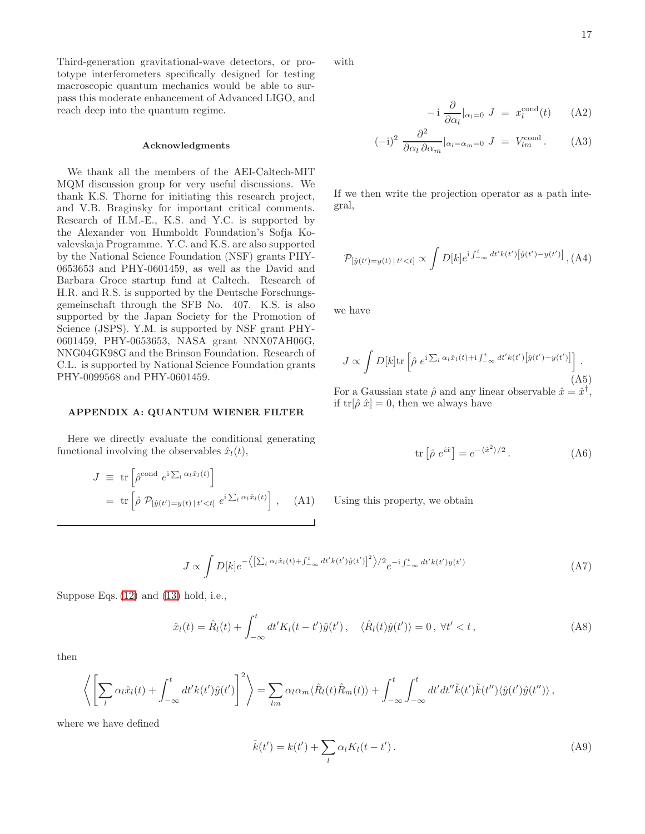Third-generation gravitational-wave detectors, or prototype interferometers specifically designed for testing macroscopic quantum mechanics would be able to surpass this moderate enhancement of Advanced LIGO, and reach deep into the quantum regime.

# Acknowledgments

We thank all the members of the AEI-Caltech-MIT MQM discussion group for very useful discussions. We thank K.S. Thorne for initiating this research project, and V.B. Braginsky for important critical comments. Research of H.M.-E., K.S. and Y.C. is supported by the Alexander von Humboldt Foundation's Sofja Kovalevskaja Programme. Y.C. and K.S. are also supported by the National Science Foundation (NSF) grants PHY-0653653 and PHY-0601459, as well as the David and Barbara Groce startup fund at Caltech. Research of H.R. and R.S. is supported by the Deutsche Forschungsgemeinschaft through the SFB No. 407. K.S. is also supported by the Japan Society for the Promotion of Science (JSPS). Y.M. is supported by NSF grant PHY-0601459, PHY-0653653, NASA grant NNX07AH06G, NNG04GK98G and the Brinson Foundation. Research of C.L. is supported by National Science Foundation grants PHY-0099568 and PHY-0601459.

### <span id="page-16-0"></span>APPENDIX A: QUANTUM WIENER FILTER

Here we directly evaluate the conditional generating functional involving the observables  $\hat{x}_l(t)$ ,

$$
J \equiv \text{tr}\left[\hat{\rho}^{\text{cond}} e^{i \sum_l \alpha_l \hat{x}_l(t)}\right]
$$
  
= 
$$
\text{tr}\left[\hat{\rho} \mathcal{P}_{[\hat{y}(t')=y(t)|t'
$$

with

$$
- i \frac{\partial}{\partial \alpha_l} \vert_{\alpha_l = 0} J = x_l^{\text{cond}}(t) \qquad (A2)
$$

$$
(-i)^2 \frac{\partial^2}{\partial \alpha_l \partial \alpha_m}|_{\alpha_l = \alpha_m = 0} J = V_{lm}^{\text{cond}}.
$$
 (A3)

If we then write the projection operator as a path integral,

$$
\mathcal{P}_{[\hat{y}(t')=y(t) | t' < t]} \propto \int D[k] e^{i \int_{-\infty}^{t} dt' k(t') [\hat{y}(t') - y(t')]}, (A4)
$$

we have

$$
J \propto \int D[k] \text{tr} \left[ \hat{\rho} \ e^{i \sum_l \alpha_l \hat{x}_l(t) + i \int_{-\infty}^t dt' k(t') \left[ \hat{y}(t') - y(t') \right]} \right]. \tag{A5}
$$

For a Gaussian state  $\hat{\rho}$  and any linear observable  $\hat{x} = \hat{x}^{\dagger}$ , if  $\text{tr}[\hat{\rho} \hat{x}] = 0$ , then we always have

$$
\text{tr}\left[\hat{\rho} e^{i\hat{x}}\right] = e^{-\langle \hat{x}^2 \rangle/2} \,. \tag{A6}
$$

Using this property, we obtain

$$
J \propto \int D[k] e^{-\left\langle \left[ \sum_{l} \alpha_{l} \hat{x}_{l}(t) + \int_{-\infty}^{t} dt' k(t') \hat{y}(t') \right]^{2} \right\rangle/2} e^{-i \int_{-\infty}^{t} dt' k(t') y(t')} \tag{A7}
$$

Suppose Eqs. [\(12\)](#page-3-4) and [\(13\)](#page-3-0) hold, i.e.,

$$
\hat{x}_l(t) = \hat{R}_l(t) + \int_{-\infty}^t dt' K_l(t - t')\hat{y}(t'), \quad \langle \hat{R}_l(t)\hat{y}(t') \rangle = 0, \ \forall t' < t,
$$
\n(A8)

then

$$
\left\langle \left[ \sum_{l} \alpha_{l} \hat{x}_{l}(t) + \int_{-\infty}^{t} dt' k(t') \hat{y}(t') \right]^{2} \right\rangle = \sum_{lm} \alpha_{l} \alpha_{m} \langle \hat{R}_{l}(t) \hat{R}_{m}(t) \rangle + \int_{-\infty}^{t} \int_{-\infty}^{t} dt' dt'' \tilde{k}(t') \tilde{k}(t'') \langle \hat{y}(t') \hat{y}(t'') \rangle ,
$$

where we have defined

$$
\tilde{k}(t') = k(t') + \sum_{l} \alpha_l K_l(t - t'). \tag{A9}
$$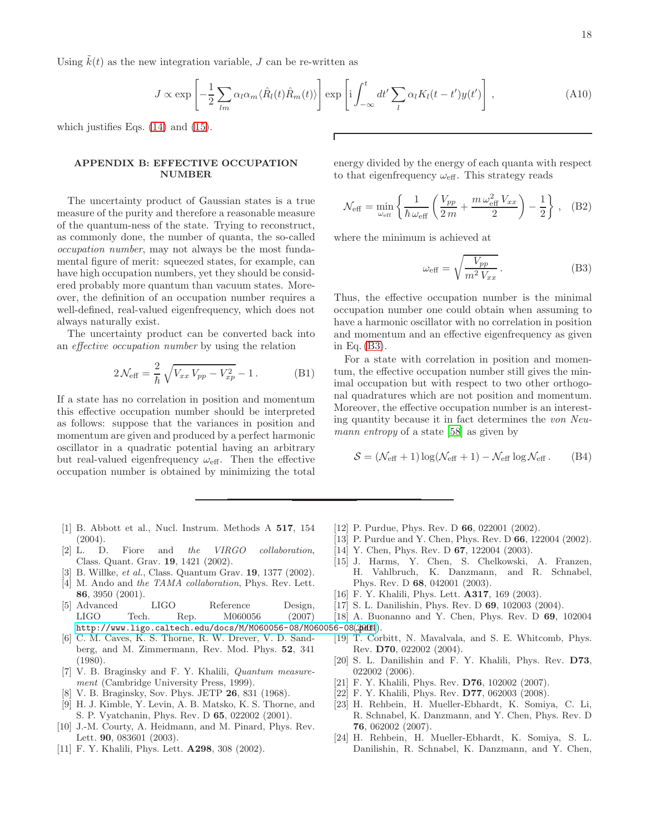Using  $k(t)$  as the new integration variable, J can be re-written as

$$
J \propto \exp\left[-\frac{1}{2}\sum_{lm}\alpha_l\alpha_m\langle\hat{R}_l(t)\hat{R}_m(t)\rangle\right] \exp\left[i\int_{-\infty}^t dt'\sum_l\alpha_lK_l(t-t')y(t')\right],\tag{A10}
$$

which justifies Eqs. [\(14\)](#page-3-8) and [\(15\)](#page-3-5).

### <span id="page-17-24"></span>APPENDIX B: EFFECTIVE OCCUPATION NUMBER

The uncertainty product of Gaussian states is a true measure of the purity and therefore a reasonable measure of the quantum-ness of the state. Trying to reconstruct, as commonly done, the number of quanta, the so-called occupation number, may not always be the most fundamental figure of merit: squeezed states, for example, can have high occupation numbers, yet they should be considered probably more quantum than vacuum states. Moreover, the definition of an occupation number requires a well-defined, real-valued eigenfrequency, which does not always naturally exist.

The uncertainty product can be converted back into an effective occupation number by using the relation

$$
2\mathcal{N}_{\text{eff}} = \frac{2}{\hbar} \sqrt{V_{xx} V_{pp} - V_{xp}^2} - 1.
$$
 (B1)

If a state has no correlation in position and momentum this effective occupation number should be interpreted as follows: suppose that the variances in position and momentum are given and produced by a perfect harmonic oscillator in a quadratic potential having an arbitrary but real-valued eigenfrequency  $\omega_{\text{eff}}$ . Then the effective occupation number is obtained by minimizing the total

- <span id="page-17-0"></span>[1] B. Abbott et al., Nucl. Instrum. Methods A 517, 154  $(2004).$
- <span id="page-17-1"></span>[2] L. D. Fiore and the VIRGO collaboration, Class. Quant. Grav. 19, 1421 (2002).
- <span id="page-17-2"></span>[3] B. Willke, et al., Class. Quantum Grav. 19, 1377 (2002).
- <span id="page-17-3"></span>[4] M. Ando and the TAMA collaboration, Phys. Rev. Lett. 86, 3950 (2001).
- <span id="page-17-4"></span>[5] Advanced LIGO Reference Design, LIGO Tech. Rep. M060056 (2007) http://www.ligo.caltech.edu/docs/M/M060056-08/M060056-08(2001£1).
- <span id="page-17-5"></span>[6] C. M. Caves, K. S. Thorne, R. W. Drever, V. D. Sandberg, and M. Zimmermann, Rev. Mod. Phys. 52, 341 (1980).
- <span id="page-17-6"></span>[7] V. B. Braginsky and F. Y. Khalili, Quantum measurement (Cambridge University Press, 1999).
- <span id="page-17-7"></span>[8] V. B. Braginsky, Sov. Phys. JETP 26, 831 (1968).
- <span id="page-17-8"></span>[9] H. J. Kimble, Y. Levin, A. B. Matsko, K. S. Thorne, and S. P. Vyatchanin, Phys. Rev. D 65, 022002 (2001).
- <span id="page-17-9"></span>[10] J.-M. Courty, A. Heidmann, and M. Pinard, Phys. Rev. Lett. 90, 083601 (2003).
- <span id="page-17-10"></span>[11] F. Y. Khalili, Phys. Lett. **A298**, 308 (2002).

energy divided by the energy of each quanta with respect to that eigenfrequency  $\omega_{\text{eff}}$ . This strategy reads

$$
\mathcal{N}_{\text{eff}} = \min_{\omega_{\text{eff}}} \left\{ \frac{1}{\hbar \omega_{\text{eff}}} \left( \frac{V_{pp}}{2m} + \frac{m \omega_{\text{eff}}^2 V_{xx}}{2} \right) - \frac{1}{2} \right\}, \quad (B2)
$$

where the minimum is achieved at

<span id="page-17-25"></span>
$$
\omega_{\text{eff}} = \sqrt{\frac{V_{pp}}{m^2 V_{xx}}}.
$$
\n(B3)

Thus, the effective occupation number is the minimal occupation number one could obtain when assuming to have a harmonic oscillator with no correlation in position and momentum and an effective eigenfrequency as given in Eq. [\(B3\)](#page-17-25).

For a state with correlation in position and momentum, the effective occupation number still gives the minimal occupation but with respect to two other orthogonal quadratures which are not position and momentum. Moreover, the effective occupation number is an interesting quantity because it in fact determines the von Neu-mann entropy of a state [\[58](#page-18-33)] as given by

$$
S = (\mathcal{N}_{\text{eff}} + 1) \log(\mathcal{N}_{\text{eff}} + 1) - \mathcal{N}_{\text{eff}} \log \mathcal{N}_{\text{eff}}.
$$
 (B4)

- <span id="page-17-11"></span>[12] P. Purdue, Phys. Rev. D **66**, 022001 (2002).
- <span id="page-17-12"></span>[13] P. Purdue and Y. Chen, Phys. Rev. D 66, 122004 (2002).
- <span id="page-17-13"></span>[14] Y. Chen, Phys. Rev. D **67**, 122004 (2003).
- <span id="page-17-14"></span>[15] J. Harms, Y. Chen, S. Chelkowski, A. Franzen, H. Vahlbruch, K. Danzmann, and R. Schnabel, Phys. Rev. D 68, 042001 (2003).
- <span id="page-17-15"></span>[16] F. Y. Khalili, Phys. Lett. **A317**, 169 (2003).
- <span id="page-17-16"></span>[17] S. L. Danilishin, Phys. Rev. D 69, 102003 (2004).
- <span id="page-17-17"></span>[18] A. Buonanno and Y. Chen, Phys. Rev. D 69, 102004
- <span id="page-17-18"></span>[19] T. Corbitt, N. Mavalvala, and S. E. Whitcomb, Phys. Rev. D70, 022002 (2004).
- <span id="page-17-19"></span>[20] S. L. Danilishin and F. Y. Khalili, Phys. Rev. D73, 022002 (2006).
- <span id="page-17-20"></span>[21] F. Y. Khalili, Phys. Rev. D76, 102002 (2007).
- <span id="page-17-21"></span>[22] F. Y. Khalili, Phys. Rev. D77, 062003 (2008).
- <span id="page-17-22"></span>[23] H. Rehbein, H. Mueller-Ebhardt, K. Somiya, C. Li, R. Schnabel, K. Danzmann, and Y. Chen, Phys. Rev. D 76, 062002 (2007).
- <span id="page-17-23"></span>[24] H. Rehbein, H. Mueller-Ebhardt, K. Somiya, S. L. Danilishin, R. Schnabel, K. Danzmann, and Y. Chen,